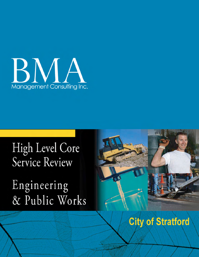

# High Level Core Service Review

Engineering & Public Works



# **City of Stratford**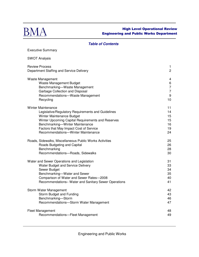

Executive Summary

# High Level Operational Review Engineering and Public Works Department

#### **Table of Contents**

SWOT Analysis Review Process 1 Department Staffing and Service Delivery 2 Waste Management 4 Waste Management Budget 6 and the state of the state of the state of the state of the state of the state of the state of the state of the state of the state of the state of the state of the state of the state of the state Benchmarking—Waste Management 7 Garbage Collection and Disposal 7 (2002) 2014 12:38:39 The Sea of the Sea of the Sea of the Sea of T Recommendations—Waste Management 6 and 19 and 19 and 19 and 19 and 19 and 19 and 19 and 19 and 19 and 19 and 19 and 19 and 19 and 19 and 19 and 19 and 19 and 19 and 19 and 19 and 19 and 19 and 19 and 19 and 19 and 19 and 1 Recycling the contract of the contract of the contract of the contract of the contract of the contract of the contract of the contract of the contract of the contract of the contract of the contract of the contract of the Winter Maintenance 11 and 12 and 12 and 12 and 12 and 12 and 12 and 13 and 13 and 14 and 14 and 15 and 15 and 17 and 17 and 17 and 17 and 17 and 17 and 17 and 17 and 17 and 17 and 17 and 17 and 17 and 17 and 17 and 17 and Legislative/Regulatory Requirements and Guidelines 14 Winter Maintenance Budget **15** Winter Upcoming Capital Requirements and Reserves 15 Benchmarking—Winter Maintenance 16 and 16 Factors that May Impact Cost of Service 19 and 19 and 19 Recommendations—Winter Maintenance 24 Roads, Sidewalks, Miscellaneous Public Works Activities 25 Roads Budgeting and Capital 26 and 26 and 26 and 26 and 26 and 26 and 26 and 26 and 26 and 26 and 26 and 26 and 26 and 26 and 26 and 26 and 26 and 26 and 26 and 26 and 26 and 26 and 26 and 26 and 26 and 26 and 27 and 27 an Benchmarking 28 Recommendations—Roads, Sidewalks 30 Water and Sewer Operations and Legislation 31 and 31 Water Budget and Service Delivery 33 Sewer Budget 34 Benchmarking—Water and Sewer 35 Comparison of Water and Sewer Rates—2008 40 Recommendations– Water and Sanitary Sewer Operations 41 Storm Water Management 42 Storm Budget and Funding **43** and  $\frac{43}{4}$ Benchmarking—Storm 46 Recommendations—Storm Water Management 47 Fleet Management 48 Recommendations—Fleet Management **1998** and 1998 and 1998 and 1998 and 1998 and 1998 and 1998 and 1998 and 1998 and 1998 and 1998 and 1998 and 1998 and 1998 and 1998 and 1998 and 1998 and 1998 and 1998 and 1998 and 1998 an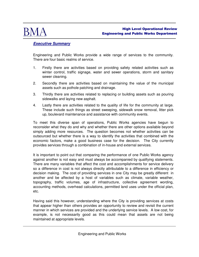

# **Executive Summary**

Engineering and Public Works provide a wide range of services to the community. There are four basic realms of service.

- 1. Firstly there are activities based on providing safety related activities such as winter control, traffic signage, water and sewer operations, storm and sanitary sewer cleaning.
- 2. Secondly there are activities based on maintaining the value of the municipal assets such as pothole patching and drainage.
- 3. Thirdly there are activities related to replacing or building assets such as pouring sidewalks and laying new asphalt.
- 4. Lastly there are activities related to the quality of life for the community at large. These include such things as street sweeping, sidewalk snow removal, litter pick up, boulevard maintenance and assistance with community events.

To meet this diverse span of operations, Public Works agencies have begun to reconsider what they do and why and whether there are other options available beyond simply adding more resources. The question becomes not whether activities can be outsourced but whether there is a way to identify the activities that combined with the economic factors, make a good business case for the decision. The City currently provides services through a combination of in-house and external services.

It is important to point out that comparing the performance of one Public Works agency against another is not easy and must always be accompanied by qualifying statements. There are many variables that affect the cost and accomplishments for service delivery so a difference in cost is not always directly attributable to a difference in efficiency or decision making. The cost of providing services in one City may be greatly different in another and be affected by a host of variables such as climate, variable weather, topography, traffic volumes, age of infrastructure, collective agreement wording, accounting methods, overhead calculations, permitted land uses under the official plan, etc.

Having said this however, understanding where the City is providing services at costs that appear higher than others provides an opportunity to review and revisit the current manner in which services are provided and the underlying service levels. A low cost, for example, is not necessarily good as this could mean that assets are not being maintained at appropriate levels.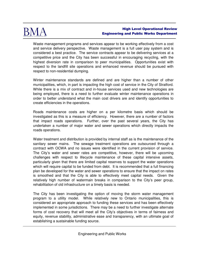

Waste management programs and services appear to be working effectively from a cost and service delivery perspective. Waste management is a full user pay system and is considered a best practice. The service contracts appear to be delivering services at a competitive price and the City has been successful in encouraging recycling, with the highest diversion rate in comparison to peer municipalities. Opportunities exist with respect to the landfill site operations and enhanced revenue should be pursued with respect to non-residential dumping.

Winter maintenance standards are defined and are higher than a number of other municipalities, which, in part is impacting the high cost of service in the City of Stratford. While there is a mix of contract and in-house services used and new technologies are being employed, there is a need to further evaluate winter maintenance operations in order to better understand what the main cost drivers are and identify opportunities to create efficiencies in the operations.

Roads maintenance costs are higher on a per kilometre basis which should be investigated as this is a measure of efficiency. However, there are a number of factors that impact roads operations. Further, over the past several years, the City has undertaken a number of major water and sewer operations which directly impacts the roads operations.

Water treatment and distribution is provided by internal staff as is the maintenance of the sanitary sewer mains. The sewage treatment operations are outsourced through a contract with OCWA and no issues were identified in the current provision of service. The City's water and sewer rates are competitive, however, there will be upcoming challenges with respect to lifecycle maintenance of these capital intensive assets, particularly given that there are limited capital reserves to support the water operations which will require capital to be funded from debt. It is recommended that a full financing plan be developed for the water and sewer operations to ensure that the impact on rates is smoothed and that the City is able to effectively meet capital needs. Given the relatively high number of watermain breaks in comparison to the City's peer group, rehabilitation of old infrastructure on a timely basis is needed.

The City has been investigating the option of moving the storm water management program to a utility model. While relatively new to Ontario municipalities, this is considered an appropriate approach to funding these services and has been effectively implemented in some jurisdictions. There may be a need to further investigate alternate forms of cost recovery that will meet all the City's objectives in terms of fairness and equity, revenue stability, administrative ease and transparency, with an ultimate goal of establishing a sustainable funding source.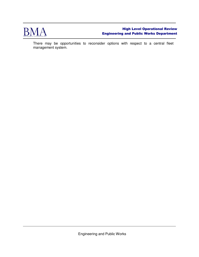

There may be opportunities to reconsider options with respect to a central fleet management system.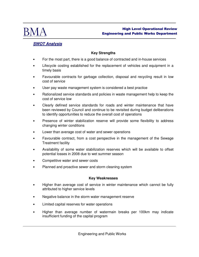

# **SWOT Analysis**

# **Key Strengths**

- For the most part, there is a good balance of contracted and in-house services
- Lifecycle costing established for the replacement of vehicles and equipment in a timely basis
- Favourable contracts for garbage collection, disposal and recycling result in low cost of service
- User pay waste management system is considered a best practice
- Rationalized service standards and policies in waste management help to keep the cost of service low
- Clearly defined service standards for roads and winter maintenance that have been reviewed by Council and continue to be revisited during budget deliberations to identify opportunities to reduce the overall cost of operations
- Presence of winter stabilization reserve will provide some flexibility to address changing winter conditions
- Lower than average cost of water and sewer operations
- Favourable contract, from a cost perspective in the management of the Sewage Treatment facility
- Availability of some water stabilization reserves which will be available to offset potential losses in 2008 due to wet summer season
- Competitive water and sewer costs
- Planned and proactive sewer and storm cleaning system

#### **Key Weaknesses**

- Higher than average cost of service in winter maintenance which cannot be fully attributed to higher service levels
- Negative balance in the storm water management reserve
- Limited capital reserves for water operations
- Higher than average number of watermain breaks per 100km may indicate insufficient funding of the capital program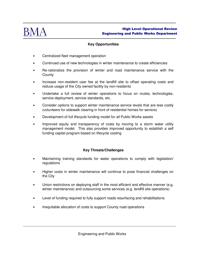

# **Key Opportunities**

- Centralized fleet management operation
- Continued use of new technologies in winter maintenance to create efficiencies
- Re-rationalize the provision of winter and road maintenance service with the **County**
- Increase non-resident user fee at the landfill site to offset operating costs and reduce usage of the City owned facility by non-residents
- Undertake a full review of winter operations to focus on routes, technologies, service deployment, service standards, etc.
- Consider options to support winter maintenance service levels that are less costly (volunteers for sidewalk clearing in front of residential homes for seniors)
- Development of full lifecycle funding model for all Public Works assets
- Improved equity and transparency of costs by moving to a storm water utility management model. This also provides improved opportunity to establish a self funding capital program based on lifecycle costing

# **Key Threats/Challenges**

- Maintaining training standards for water operations to comply with legislation/ regulations
- Higher costs in winter maintenance will continue to pose financial challenges on the City
- Union restrictions on deploying staff in the most efficient and effective manner (e.g. winter maintenance) and outsourcing some services (e.g. landfill site operations)
- Level of funding required to fully support roads resurfacing and rehabilitations
- Inequitable allocation of costs to support County road operations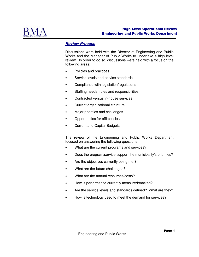

# **Review Process**

Discussions were held with the Director of Engineering and Public Works and the Manager of Public Works to undertake a high level review. In order to do so, discussions were held with a focus on the following areas:

- Policies and practices
- Service levels and service standards
- Compliance with legislation/regulations
- Staffing needs, roles and responsibilities
- Contracted versus in-house services
- Current organizational structure
- Major priorities and challenges
- Opportunities for efficiencies
- Current and Capital Budgets

The review of the Engineering and Public Works Department focused on answering the following questions:

- What are the current programs and services?
- Does the program/service support the municipality's priorities?
- Are the objectives currently being met?
- What are the future challenges?
- What are the annual resources/costs?
- How is performance currently measured/tracked?
- Are the service levels and standards defined? What are they?
- How is technology used to meet the demand for services?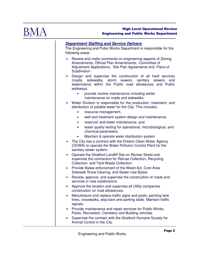

# **Department Staffing and Service Delivery**

The Engineering and Pubic Works Department is responsible for the following areas:

- Review and make comments on engineering aspects of Zoning Amendments, Official Plan Amendments, Committee of Adjustment Applications, Site Plan Agreements and Plans of Subdivision.
- Design and supervise the construction of all hard services (roads, sidewalks, storm sewers, sanitary sewers and watermains) within the Public road allowances and Public walkways.
	- provide routine maintenance including winter maintenance on roads and sidewalks.
- Water Division is responsible for the production, treatment, and distribution of potable water for the City. This includes;
	- resource management,
	- well and treatment system design and maintenance,
	- reservoir and tower maintenance, and
	- water quality testing for operational, microbiological, and chemical parameters.
	- Maintain & operate water distribution system
- The City has a contract with the Ontario Clean Water Agency (OCWA) to operate the Water Pollution Control Plant for the sanitary sewer system.
- Operate the Stratford Landfill Site on Romeo Street and supervise the contractors for Refuse Collection, Recycling Collection, and Yard Waste Collection.
- Provide Bylaw enforcement of the Weed Act, Core Area Sidewalk Snow Clearing, and Sewer Use Bylaw.
- Review, approve, and supervise the construction of roads and services in new subdivisions.
- Approve the location and supervise all Utility companies construction on road allowances.
- Manufacture and replace traffic signs and posts, painting lane lines, crosswalks, stop bars and parking stalls. Maintain traffic signals.
- Provide maintenance and repair services for Public Works, Parks, Recreation, Cemetery and Building vehicles.
- Supervise the contract with the Stratford Humane Society for Animal Control in the City.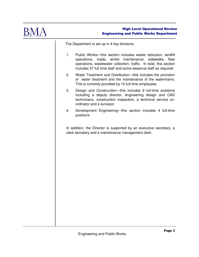

The Department is set up in 4 key divisions:

- 1. Public Works—this section includes waste reduction, landfill operations, roads, winter maintenance, sidewalks, fleet operations, wastewater collection, traffic. In total, this section includes 37 full time staff and some seasonal staff as required
- 2. Water Treatment and Distribution—this includes the provision of water treatment and the maintenance of the watermains. This is currently provided by 12 full time employees
- 3. Design and Construction—this includes 9 full-time positions including a deputy director, engineering design and CAD technicians, construction inspectors, a technical service coordinator and a surveyor.
- 4. Development Engineering—this section includes 4 full-time positions

In addition, the Director is supported by an executive secretary, a clerk secretary and a maintenance management clerk.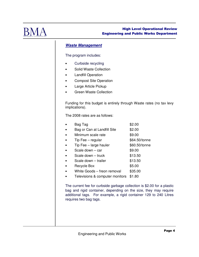

# **Waste Management**

The program includes:

- Curbside recycling
- Solid Waste Collection
- Landfill Operation
- Compost Site Operation
- Large Article Pickup
- Green Waste Collection

Funding for this budget is entirely through Waste rates (no tax levy implications).

The 2008 rates are as follows:

| Bag Tag                         | \$2.00        |
|---------------------------------|---------------|
| Bag or Can at Landfill Site     | \$2.00        |
| Minimum scale rate              | \$9.00        |
| Tip Fee - regular               | \$64.50/tonne |
| Tip Fee - large hauler          | \$60.50/tonne |
| Scale down - car                | \$9.00        |
| Scale down - truck              | \$13.50       |
| Scale down - trailer            | \$13.50       |
| Recycle Box                     | \$5.00        |
| White Goods - freon removal     | \$35.00       |
| Televisions & computer monitors | \$1.80        |
|                                 |               |

The current fee for curbside garbage collection is \$2.00 for a plastic bag and rigid container, depending on the size, they may require additional tags. For example, a rigid container 129 to 240 Litres requires two bag tags.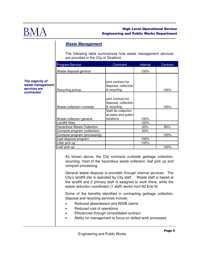

# **Waste Management**

The following table summarizes how waste management services are provided in the City of Stratford.

| Program/Service                   | Comment                                    | Internal | Contract |
|-----------------------------------|--------------------------------------------|----------|----------|
| Waste disposal general            |                                            | 100%     |          |
|                                   |                                            |          |          |
|                                   | joint contract for<br>disposal, collection |          |          |
| Recycling pickup                  | & recycling                                |          | 100%     |
|                                   |                                            |          |          |
|                                   | joint contract for<br>disposal, collection |          |          |
| Waste collection curbside         | & recycling                                |          | 100%     |
|                                   | Staff do collection                        |          |          |
| Waste collection general          | at parks and public<br>locations           | 100%     |          |
| Landfill Sites                    |                                            | 100%     |          |
| <b>Hazardous Waste Collection</b> |                                            | 20%      | 80%      |
| Compost program (collection)      |                                            | 50%      |          |
| Compost program (processing)      |                                            |          | 100%     |
| Leaf disposal program             |                                            | 100%     |          |
| Litter pick up                    |                                            | 100%     |          |
| Leaf pick up                      |                                            |          | 100%     |

As shown above, the City contracts curbside garbage collection, recycling, most of the hazardous waste collection, leaf pick up and compost processing.

General waste disposal is provided through internal services. The City's landfill site is operated by City staff. Waste staff is based at the landfill and 2 primary staff is assigned to work there, while the waste reduction coordinator (1 staff) works from 82 Erie St.

Some of the benefits identified in contracting garbage collection, disposal and recycling services include:

- Reduced absenteeism and WSIB claims
- Reduced cost of operations
- Efficiencies through consolidated contract
- Ability for management to focus on skilled work processes

**The majority of waste management services are contracted**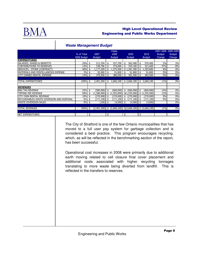

|                                           | % of Total<br>2008 Budget | 2007<br><b>Budget</b> |     | <b>FINAL</b><br>2008<br><b>Budget</b>                            |     | 2009<br><b>Budget</b> | 2010<br><b>Budget</b> | <b>Budget</b><br>Change | 2007-2008 2008-2009<br><b>Budget</b><br>Change |
|-------------------------------------------|---------------------------|-----------------------|-----|------------------------------------------------------------------|-----|-----------------------|-----------------------|-------------------------|------------------------------------------------|
| <b>EXPENDITURES</b>                       |                           |                       |     |                                                                  |     |                       |                       |                         |                                                |
| SALARIES, WAGES & BENEFITS                | 20%                       | \$<br>513,704         | \$  | 537,700                                                          | \$  | 562,400               | \$<br>570,400         | 5%                      | 5%                                             |
| <b>CONTRIBUTIONS TO RESERVES</b>          | 14%                       | \$<br>238,796         | \$  | 374,600                                                          | \$  | 343,100               | \$<br>321,600         | 57%                     | $-8%$                                          |
| SERVICES - OTHER (CONTRACT)               | 48%                       | \$<br>1,177,200       | \$  | 1,275,500                                                        |     | \$1,281,300           | \$<br>1,293,800       | 8%                      | 0%                                             |
| MATERIALS AND MISCELLANEOUS EXPENSE       | 3%                        | \$<br>92,000          | \$  | 91,800                                                           | \$  | 91,800                | \$<br>91,800          | 0%                      | 0%                                             |
| <b>CITY OWNED RENTAL EXPENSE</b>          | 14%                       | \$<br>379,500         | \$  | 380,500                                                          | \$  | 381,500               | \$<br>382,500         | 0%                      | 0%                                             |
|                                           |                           |                       |     |                                                                  |     |                       |                       |                         |                                                |
| TOTAL EXPENDITURES                        | 100%                      | \$<br>2,401,200       | \$  | 2,660,100                                                        |     | \$2,660,100           | \$<br>2,660,100       | 11%                     | 0%                                             |
|                                           |                           |                       |     |                                                                  |     |                       |                       |                         |                                                |
| <b>REVENUES</b>                           |                           |                       |     |                                                                  |     |                       |                       |                         |                                                |
| <b>BAG TAG REVENUE</b>                    | 25%                       | \$<br>(580,000)       | \$  | (660,000)                                                        | \$  | $(660,000)$ \$        | (660,000)             | 14%                     | 0%                                             |
| TIPPING FEE REVENUE                       | 58%                       | \$<br>(1,380,000)     | -\$ | $(1,555,000)$ $(1,555,000)$ $(1,555,000)$                        |     |                       |                       | 13%                     | 0%                                             |
| CITY OWN RENTAL REVENUE                   | 10%                       | \$<br>$(270,000)$ \$  |     | (270,000)                                                        | -\$ | (270,000)  \$         | (270,000)             | $0\%$                   | 0%                                             |
| RECOVERABLES WASTE DIVERSION AND DISPOSAL | 6%                        | \$<br>(171, 100)      | \$  | (171, 100)                                                       | \$  | $(171, 100)$ \$       | (171, 100)            | 0%                      | 0%                                             |
| <b>WASTE DIVERSION SALES</b>              | $0\%$                     | \$<br>$(100)$ \$      |     | $(4,000)$ \$                                                     |     | $(4,000)$ \$          | (4,000)               |                         | 0%                                             |
|                                           |                           |                       |     |                                                                  |     |                       |                       |                         |                                                |
| <b>TOTAL REVENUES</b>                     | $100\%$ \$                |                       |     | $(2,401,200)$ \$ $(2,660,100)$ \$ $(2,660,100)$ \$ $(2,660,100)$ |     |                       |                       | 11%                     | 0%                                             |
|                                           |                           |                       |     |                                                                  |     |                       |                       |                         |                                                |
| NET EXPENDITURES                          |                           | \$<br>٠               | \$  |                                                                  | \$  |                       | \$<br>۰               |                         |                                                |

# **Waste Management Budget**

The City of Stratford is one of the few Ontario municipalities that has moved to a full user pay system for garbage collection and is considered a best practice. This program encourages recycling, which, as will be reflected in the benchmarking section of the report, has been successful.

Operational cost increases in 2008 were primarily due to additional earth moving related to cell closure final cover placement and additional costs associated with higher recycling tonnages translating to more waste being diverted from landfill. This is reflected in the transfers to reserves.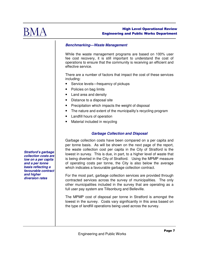

## **Benchmarking—Waste Management**

While the waste management programs are based on 100% user fee cost recovery, it is still important to understand the cost of operations to ensure that the community is receiving an efficient and effective service.

There are a number of factors that impact the cost of these services including:

- Service levels—frequency of pickups
- Policies on bag limits
- Land area and density
- Distance to a disposal site
- Precipitation which impacts the weight of disposal
- The nature and extent of the municipality's recycling program
- Landfill hours of operation
- Material included in recycling

# **Garbage Collection and Disposal**

Garbage collection costs have been compared on a per capita and per tonne basis. As will be shown on the next page of the report, the waste collection cost per capita in the City of Stratford is the lowest in survey. This is due, in part, to a higher level of waste that is being diverted in the City of Stratford. Using the MPMP measure of operating costs per tonne, the City is also below the average which indicates a favourable garbage collection contract.

For the most part, garbage collection services are provided through contracted services across the survey of municipalities. The only other municipalities included in the survey that are operating as a full user pay system are Tillsonburg and Belleville.

The MPMP cost of disposal per tonne in Stratford is amongst the lowest in the survey. Costs vary significantly in this area based on the type of landfill operations being used across the survey.

**Stratford's garbage collection costs are low on a per capita and a per tonne basis reflecting a favourable contract and higher diversion rates**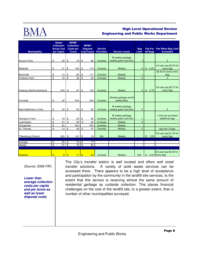

|                          |               | Waste<br><b>Collection</b><br><b>Gross Cost</b> |                 | <b>MPMP</b><br><b>Collection</b><br><b>Costs per</b> |                | <b>MPMP</b><br><b>Disposal</b> | <b>Service</b> |                                             | <b>Bag</b>     |                |        | Fee For Fee When Bag Limit                 |  |  |  |                   |                  |                       |       |  |                 |                 |
|--------------------------|---------------|-------------------------------------------------|-----------------|------------------------------------------------------|----------------|--------------------------------|----------------|---------------------------------------------|----------------|----------------|--------|--------------------------------------------|--|--|--|-------------------|------------------|-----------------------|-------|--|-----------------|-----------------|
| <b>Municipality</b>      |               | per Capita                                      |                 | <b>Tonne</b>                                         |                |                                |                |                                             |                |                |        |                                            |  |  |  | <b>Cost/Tonne</b> | <b>Provision</b> | <b>Service Levels</b> | Limit |  | <b>All Bags</b> | <b>Exceeded</b> |
| Aurora (York)            | \$            | 20                                              | \$              | 73                                                   | \$             | 82                             | Contract       | Bi-weekly garbage,<br>weekly green and blue | 3              |                |        | 3                                          |  |  |  |                   |                  |                       |       |  |                 |                 |
| Belleville               | \$            | 21                                              | \$              | 130                                                  | \$             | 119                            | Contract       | Weekly                                      | $6\phantom{1}$ | $\mathfrak{S}$ | 2.00   | full user pay \$2.00 for<br>every bag      |  |  |  |                   |                  |                       |       |  |                 |                 |
| Brockville               | \$            | 14                                              | \$              | 82                                                   | \$             | 117                            | Contract       | Weekly                                      | $\mathbf{1}$   |                |        | \$2.50 for every extra<br>bag              |  |  |  |                   |                  |                       |       |  |                 |                 |
| Chatham-Kent             | \$            | 18                                              | \$              | 38                                                   | \$             | 63                             | Contract       | Weekly                                      | $\overline{4}$ |                |        | $\overline{4}$                             |  |  |  |                   |                  |                       |       |  |                 |                 |
| Cobourg (Northumberland) |               | N/A                                             | \$              | 97                                                   | \$             | 100                            | Contract       | Weekly                                      | 3 <sup>1</sup> | $\mathfrak{S}$ | 2.75   | full user pay \$2.75 for<br>every bag      |  |  |  |                   |                  |                       |       |  |                 |                 |
| Cornwall                 | \$            | 23                                              |                 | N/A                                                  |                | N/A                            | Contract       | Weekly garbage and Bi-<br>weekly Blue       |                |                |        |                                            |  |  |  |                   |                  |                       |       |  |                 |                 |
| East Gwillimbury (York)  | \$            | 24                                              | \$              | 83                                                   | \$             | 82                             | Contract       | Bi-weekly garbage,<br>weekly green and blue | $\overline{c}$ |                |        | $\overline{2}$                             |  |  |  |                   |                  |                       |       |  |                 |                 |
| Georgina (York)          | \$            | 18                                              | \$              | 53                                                   | \$             | 82                             | Contract       | Bi-weekly garbage,<br>weekly green and blue | $\mathbf{1}$   |                |        | 1 and can purchase<br>additional tags      |  |  |  |                   |                  |                       |       |  |                 |                 |
| Leamington               | \$            | 21                                              | $$\mathbb{S}$$  | 59                                                   | $\mathfrak{S}$ | 62                             | In House       | Weekly                                      | $\overline{4}$ |                |        |                                            |  |  |  |                   |                  |                       |       |  |                 |                 |
| Orangeville              | \$            | 24                                              |                 | N/A                                                  |                | N/A                            | Contract       | Weekly                                      |                |                |        |                                            |  |  |  |                   |                  |                       |       |  |                 |                 |
| St. Thomas               | \$            | 13                                              | \$              | 36                                                   | \$             | 47                             | Contract       | Weekly                                      | $\overline{c}$ |                |        | tag over 2 bags                            |  |  |  |                   |                  |                       |       |  |                 |                 |
| Tillsonburg (Oxford)     |               | N/A                                             | <b>S</b>        | $141$ \ \$                                           |                | 16                             | <b>Mix</b>     | Weekly                                      |                |                | \$1.25 | full user pay \$1.25 for<br>every bag      |  |  |  |                   |                  |                       |       |  |                 |                 |
| Average                  | \$            | 20                                              | \$              | 79                                                   | $\sqrt{3}$     | 77                             |                |                                             |                |                |        |                                            |  |  |  |                   |                  |                       |       |  |                 |                 |
| Median                   | \$            | 21                                              | $\overline{\$}$ | $78$ \$                                              |                | $\overline{82}$                |                |                                             |                |                |        |                                            |  |  |  |                   |                  |                       |       |  |                 |                 |
|                          |               |                                                 |                 |                                                      |                |                                |                |                                             |                |                |        |                                            |  |  |  |                   |                  |                       |       |  |                 |                 |
| Stratford                | $\mathsf{\$}$ | 8 <sup>2</sup>                                  | $\sqrt{3}$      | 71                                                   | $\sqrt{3}$     | 43                             | Contract       | Weekly                                      | N/A            | \$             |        | full user pay \$2.00 for<br>2.00 every bag |  |  |  |                   |                  |                       |       |  |                 |                 |

(Source: 2006 FIR)

**Lower than average collection costs per capita and per tonne as well as lower disposal costs** 

The City's transfer station is well located and offers well sized transfer solutions. A variety of solid waste services can be accessed there. There appears to be a high level of acceptance and participation by the community in the landfill site services, to the extent that this service is receiving almost the same amount of residential garbage as curbside collection. This places financial challenges on the cost of the landfill site, to a greater extent, than a number of other municipalities surveyed.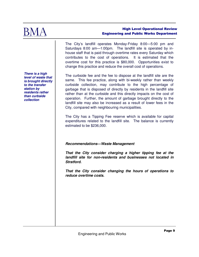

The City's landfill operates Monday-Friday 8:00—5:00 pm and Saturdays 8:00 am—1:00pm. The landfill site is operated by inhouse staff that is paid through overtime rates every Saturday which contributes to the cost of operations. It is estimated that the overtime cost for this practice is \$80,000. Opportunities exist to change this practice and reduce the overall cost of operations.

The curbside fee and the fee to dispose at the landfill site are the same. This fee practice, along with bi-weekly rather than weekly curbside collection, may contribute to the high percentage of garbage that is disposed of directly by residents in the landfill site rather than at the curbside and this directly impacts on the cost of operation. Further, the amount of garbage brought directly to the landfill site may also be increased as a result of lower fees in the City, compared with neighbouring municipalities.

The City has a Tipping Fee reserve which is available for capital expenditures related to the landfill site. The balance is currently estimated to be \$236,000.

# **Recommendations—Waste Management**

**That the City consider charging a higher tipping fee at the landfill site for non-residents and businesses not located in Stratford.** 

**That the City consider changing the hours of operations to reduce overtime costs.** 

**There is a high level of waste that is brought directly to the transfer station by residents rather than curbside collection**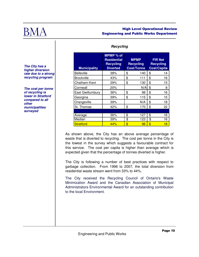

## **Recycling**

| <b>Municipality</b> | MPMP % of<br><b>Residential</b><br><b>Recycling</b><br><b>Diverted</b> | <b>MPMP</b><br><b>Recycling</b><br><b>Cost/Tonne</b> | <b>FIR Net</b><br><b>Recycling</b><br><b>Cost/Capita</b> |
|---------------------|------------------------------------------------------------------------|------------------------------------------------------|----------------------------------------------------------|
| <b>Belleville</b>   | 38%                                                                    | \$<br>140                                            | \$<br>14                                                 |
| <b>Brockville</b>   | 43%                                                                    | \$<br>111                                            | \$<br>16                                                 |
| Chatham-Kent        | 29%                                                                    | \$<br>130                                            | \$<br>15                                                 |
| Cornwall            | 20%                                                                    | N/A                                                  | \$<br>8                                                  |
| East Gwillumbury    | 36%                                                                    | \$<br>98                                             | \$<br>16                                                 |
| Georgina            | 39%                                                                    | \$<br>115                                            | \$<br>15                                                 |
| Orangeville         | 39%                                                                    | N/A                                                  | \$<br>18                                                 |
| St. Thomas          | 42%                                                                    | \$<br>170                                            | \$<br>22                                                 |
|                     |                                                                        |                                                      |                                                          |
| Average             | 36%                                                                    | \$<br>127                                            | \$<br>16                                                 |
| Median              | 39%                                                                    | \$<br>123                                            | \$<br>16                                                 |
| <b>Stratford</b>    | 44%                                                                    | \$<br>96                                             | \$<br>18                                                 |

**The City has a higher diversion rate due to a strong recycling program** 

**The cost per tonne of recycling is lower in Stratford compared to all other municipalities surveyed** 

> As shown above, the City has an above average percentage of waste that is diverted to recycling. The cost per tonne in the City is the lowest in the survey which suggests a favourable contract for this service. The cost per capita is higher than average which is expected given that the percentage of tonnes diverted is higher.

> The City is following a number of best practices with respect to garbage collection. From 1996 to 2007, the total diversion from residential waste stream went from 33% to 44%.

> The City received the Recycling Council of Ontario's Waste Minimization Award and the Canadian Association of Municipal Administrators Environmental Award for an outstanding contribution to the local Environment.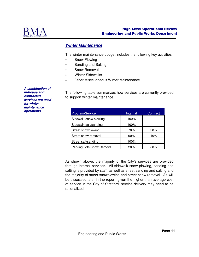

# **Winter Maintenance**

The winter maintenance budget includes the following key activities:

- Snow Plowing
- Sanding and Salting
- Snow Removal
- **Winter Sidewalks**
- Other Miscellaneous Winter Maintenance

The following table summarizes how services are currently provided to support winter maintenance.

| ,,,,,,,,,,,,,,,,<br><b>operations</b> | Program/Service           | Internal | Contract |
|---------------------------------------|---------------------------|----------|----------|
|                                       | Sidewalk snow plowing     | 100%     |          |
|                                       | Sidewalk salt/sanding     | 100%     |          |
|                                       | Street snowplowing        | 70%      | 30%      |
|                                       | Street snow removal       | 90%      | 10%      |
|                                       | Street salt/sanding       | 100%     |          |
|                                       | Parking Lots Snow Removal | 20%      | 80%      |

As shown above, the majority of the City's services are provided through internal services. All sidewalk snow plowing, sanding and salting is provided by staff, as well as street sanding and salting and the majority of street snowplowing and street snow removal. As will be discussed later in the report, given the higher than average cost of service in the City of Stratford, service delivery may need to be rationalized.

**A combination of in-house and contracted services are used for winter maintenance**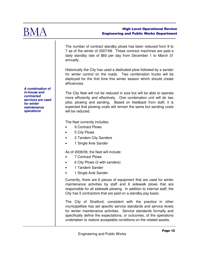

The number of contract standby plows has been reduced from 9 to 7 as of the winter of 2007/08. These contract machines are paid a daily standby rate of \$60 per day from December 1 to March 31 annually.

Historically the City has used a dedicated plow followed by a sander for winter control on the roads. Two combination trucks will be deployed for the first time this winter season which should create efficiencies.

The City fleet will not be reduced in size but will be able to operate more efficiently and effectively. One combination unit will do two jobs; plowing and sanding. Based on feedback from staff, it is expected that plowing costs will remain the same but sanding costs will be reduced.

The fleet currently includes:

- 9 Contract Plows
- 5 City Plows
- 2 Tandem City Sanders
- 1 Single Axle Sander

As of 2008/09, the fleet will include:

- 7 Contract Plows
- 6 City Plows (2 with sanders)
- 1 Tandem Sander
- 1 Single Axle Sander

Currently, there are 6 pieces of equipment that are used for winter maintenance activities by staff and 6 sidewalk plows that are responsible for all sidewalk plowing. In addition to internal staff, the City has 5 contractors that are paid on a standby pay basis.

The City of Stratford, consistent with the practice in other municipalities has set specific service standards and service levels for winter maintenance activities. Service standards formally and specifically define the expectations, or outcomes, of the operations undertaken to restore acceptable conditions on the related assets.

**A combination of in-house and contracted services are used for winter maintenance operations**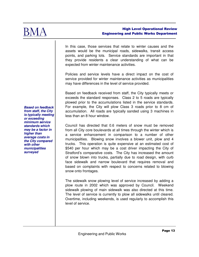

In this case, those services that relate to winter causes and the assets would be the municipal roads, sidewalks, transit access points, and parking lots. Service standards are important in that they provide residents a clear understanding of what can be expected from winter maintenance activities.

Policies and service levels have a direct impact on the cost of service provided for winter maintenance activities as municipalities may have differences in the level of service provided.

Based on feedback received from staff, the City typically meets or exceeds the standard responses. Class 2 to 5 roads are typically plowed prior to the accumulations listed in the service standards. For example, the City will plow Class 3 roads prior to 8 cm of accumulation. All roads are typically sanded using 3 machines in less than an 8 hour window.

Council has directed that 0.6 meters of snow must be removed from all City core boulevards at all times through the winter which is a service enhancement in comparison to a number of other municipalities. Blowing snow involves a blower unit, plow and 4 trucks. This operation is quite expensive at an estimated cost of \$540 per hour which may be a cost driver impacting the City of Stratford's comparative costs. The City has increased the amount of snow blown into trucks, partially due to road design, with curb face sidewalk and narrow boulevard that requires removal and based on complaints with respect to concerns related to blowing snow onto frontages.

The sidewalk snow plowing level of service increased by adding a plow route in 2002 which was approved by Council. Weekend sidewalk plowing of main sidewalk was also directed at this time. The level of service is currently to plow all sidewalks until cleared. Overtime, including weekends, is used regularly to accomplish this level of service.

**Based on feedback from staff, the City is typically meeting or exceeding minimum service standards which may be a factor in higher than average costs in the City compared with other municipalities surveyed**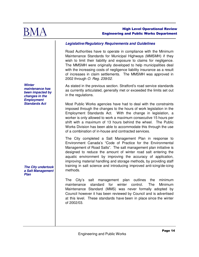

# **Legislative/Regulatory Requirements and Guidelines**

Road Authorities have to operate in compliance with the Minimum Maintenance Standards for Municipal Highways (MMSMH) if they wish to limit their liability and exposure to claims for negligence. The MMSMH were originally developed to help municipalities deal with the increasing costs of negligence liability insurance as a result of increases in claim settlements. The MMSMH was approved in 2002 through O. Reg. 239/02.

As stated in the previous section. Stratford's road service standards as currently articulated, generally met or exceeded the limits set out in the regulations.

Most Public Works agencies have had to deal with the constraints imposed through the changes to the hours of work legislation in the Employment Standards Act. With the change in legislation, a worker is only allowed to work a maximum consecutive 15 hours per shift with a maximum of 13 hours behind the wheel. The Public Works Division has been able to accommodate this through the use of a combination of in-house and contracted services.

The City completed a Salt Management Plan in response to Environment Canada's "Code of Practice for the Environmental Management of Road Salts". The salt management plan initiative is designed to reduce the amount of winter road salt entering the aquatic environment by improving the accuracy of application, improving material handling and storage methods, by providing staff training in salt science and introducing improved anti-icing/de-icing methods.

The City's salt management plan outlines the minimum maintenance standard for winter control. The Minimum Maintenance Standard (MMS) was never formally adopted by Council however it has been reviewed by Council and is advertised at this level. These standards have been in place since the winter of 2002/03.

**Winter maintenance has been impacted by changes in the Employment Standards Act** 

**The City undertook a Salt Management Plan**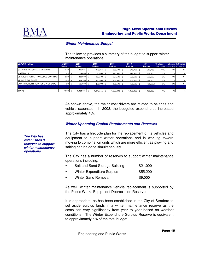

# **Winter Maintenance Budget**

The following provides a summary of the budget to support winter maintenance operations.

| <b>EXPENDITURES</b>                         | % of 2008<br><b>Budget</b> | 2007<br><b>Budget</b> | 2008<br><b>Budget</b> | 2009<br><b>Budget</b> |               |  | 2010<br><b>Budget</b> | 2011<br><b>Budget</b> |     |    | % Change % Change % Change<br>2007-2008 2008-2009 2009-2010 |
|---------------------------------------------|----------------------------|-----------------------|-----------------------|-----------------------|---------------|--|-----------------------|-----------------------|-----|----|-------------------------------------------------------------|
| SALARIES, WAGES AND BENEFITS                | $31\%$ \$                  | 295,681 \$            | 328,855 \$            |                       | 338,698 \$    |  | 348,765 \$            | 359,188               | 11% | 3% | 3%                                                          |
| <b>MATERIALS</b>                            | $16\%$ \$                  | 174,400 \$            | 175,400 \$            |                       | 176,400 \$    |  | 177,300 \$            | 178,300               | 1%  | 1% | 1%                                                          |
| <b>ISERVICES - OTHER (INCLUDES CONTRACT</b> | $22%$ \$                   | 230,000 \$            | 236,500 \$            |                       | 237,500 \$    |  | 238,500 \$            | 239,500               | 3%  | 0% | 0%                                                          |
| <b>VEHICLE EXPENSES</b>                     | $34\%$ \$                  | 359,100 \$            | 360,800 \$            |                       | 363,400 \$    |  | 366,000 \$            | 368,600               | 0%  | 1% | 1%                                                          |
| CONTRIBUTION FROM RESERVE FUNDS             | $-2\%$ \$                  | $(25,000)$ \$         | $(25,000)$ \$         |                       | $(25,500)$ \$ |  | $(25,500)$ \$         | (25,500)              | 0%  | 2% | 0%                                                          |
|                                             |                            |                       |                       |                       |               |  |                       |                       |     |    |                                                             |
| <b>TOTAL</b>                                | 100% \$                    | $1,034,181$ \$        | 1,076,555 \$          |                       | 1.090.498 \$  |  | $.105.065$ \$         | 1.120.088             | 4%  | 1% | 1%                                                          |

As shown above, the major cost drivers are related to salaries and vehicle expenses. In 2008, the budgeted expenditures increased approximately 4%.

# **Winter Upcoming Capital Requirements and Reserves**

The City has a lifecycle plan for the replacement of its vehicles and equipment to support winter operations and is working toward moving to combination units which are more efficient as plowing and salting can be done simultaneously.

The City has a number of reserves to support winter maintenance operations including:

| $\bullet$ | Salt and Sand Storage Building | \$21,000 |
|-----------|--------------------------------|----------|
| $\bullet$ | Winter Expenditure Surplus     | \$55,200 |
| $\bullet$ | <b>Winter Sand Removal</b>     | \$9,000  |

As well, winter maintenance vehicle replacement is supported by the Public Works Equipment Depreciation Reserve.

It is appropriate, as has been established in the City of Stratford to set aside surplus funds in a winter maintenance reserve as the costs can vary significantly from year to year based on weather conditions. The Winter Expenditure Surplus Reserve is equivalent to approximately 5% of the total budget.

**The City has established 3 reserves to support winter maintenance operations**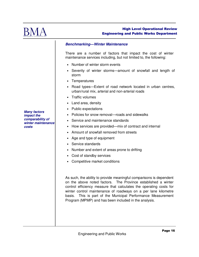

# **Benchmarking—Winter Maintenance**

There are a number of factors that impact the cost of winter maintenance services including, but not limited to, the following:

- Number of winter storm events
- Severity of winter storms—amount of snowfall and length of storm
- Temperatures
- Road types—Extent of road network located in urban centres, urban/rural mix, arterial and non-arterial roads
- Traffic volumes
- Land area, density
- Public expectations
- Policies for snow removal—roads and sidewalks
- Service and maintenance standards
- How services are provided—mix of contract and internal
- Amount of snowfall removed from streets
- Age and type of equipment
- Service standards
- Number and extent of areas prone to drifting
- Cost of standby services
- Competitive market conditions

As such, the ability to provide meaningful comparisons is dependent on the above noted factors. The Province established a winter control efficiency measure that calculates the operating costs for winter control maintenance of roadways on a per lane kilometre basis. This is part of the Municipal Performance Measurement Program (MPMP) and has been included in the analysis.

**Many factors impact the comparability of winter maintenance costs**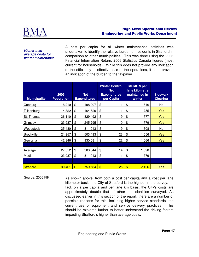

**Higher than average costs for winter maintenance** 

A cost per capita for all winter maintenance activities was undertaken to identify the relative burden on residents in Stratford in comparison to other municipalities. This was done using the 2006 Financial Information Return, 2006 Statistics Canada figures (most current for households). While this does not provide any indication of the efficiency or effectiveness of the operations, it does provide an indication of the burden to the taxpayer.

| <b>Municipality</b> | 2006<br><b>Population</b> |                         | <b>Net</b><br><b>Expenditures</b> | <b>Winter Control</b><br><b>Net</b><br><b>Expenditures</b><br>per Capita | <b>MPMP</b> \$ per<br>lane kilometre<br>maintained in<br>winter | <b>Sidewalk</b><br><b>Clearing</b> |
|---------------------|---------------------------|-------------------------|-----------------------------------|--------------------------------------------------------------------------|-----------------------------------------------------------------|------------------------------------|
| Cobourg             | 18,210                    | \$                      | 198,907                           | \$<br>11                                                                 | \$<br>646                                                       | No                                 |
| Tillsonburg         | 14,822                    | \$                      | 164,629                           | \$<br>11                                                                 | \$<br>755                                                       | Yes                                |
| St. Thomas          | 36,110                    | \$                      | 329,492                           | \$<br>9                                                                  | \$<br>777                                                       | <b>Yes</b>                         |
| Grimsby             | 23,937                    | \$                      | 245,295                           | \$<br>10                                                                 | \$<br>779                                                       | Yes                                |
| Woodstock           | 35,480                    | \$                      | 311,013                           | \$<br>9                                                                  | \$<br>1,608                                                     | No                                 |
| <b>Brockville</b>   | 21,957                    | \$                      | 503,493                           | \$<br>23                                                                 | \$<br>1,556                                                     | Yes                                |
| Georgina            | 42,346                    | \$                      | 930,581                           | \$<br>22                                                                 | \$<br>1,566                                                     | Yes                                |
|                     |                           |                         |                                   |                                                                          |                                                                 |                                    |
| Average             | 27,552                    | \$                      | 383,344                           | \$<br>14                                                                 | \$<br>1,098                                                     |                                    |
| Median              | 23,937                    | \$                      | 311,013                           | \$<br>11                                                                 | \$<br>779                                                       |                                    |
|                     |                           |                         |                                   |                                                                          |                                                                 |                                    |
| <b>Stratford</b>    | 30,461                    | $\overline{\mathbf{3}}$ | 759,534                           | \$<br>25                                                                 | \$<br>2,106                                                     | Yes                                |

Source: 2006 FIR

As shown above, from both a cost per capita and a cost per lane kilometer basis, the City of Stratford is the highest in the survey. In fact, on a per capita and per lane km basis, the City's costs are approximately double that of other municipalities surveyed. As discussed earlier in this section of the report, there are a number of possible reasons for this, including higher service standards, the current use of equipment and service delivery practices. This should be explored further to better understand the driving factors impacting Stratford's higher than average costs.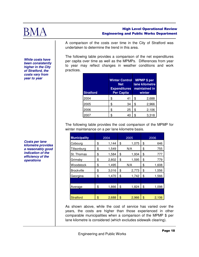

**While costs have been consistently higher in the City of Stratford, the costs vary from year to year** 

#### High Level Operational Review Engineering and Public Works Department

A comparison of the costs over time in the City of Stratford was undertaken to determine the trend in this area.

The following table provides a comparison of the net expenditures per capita over time as well as the MPMPs. Differences from year to year may reflect changes in weather conditions and work practices.

| <b>Stratford</b> | <b>Winter Control</b><br><b>Net</b><br><b>Expenditures</b><br><b>Per Capita</b> |    | <b>MPMP \$ per</b><br>lane kilometre<br>maintained in<br>winter |       |  |
|------------------|---------------------------------------------------------------------------------|----|-----------------------------------------------------------------|-------|--|
| 2004             | \$                                                                              | 41 | \$                                                              | 2,688 |  |
| 2005             | S                                                                               | 34 | \$                                                              | 2,966 |  |
| 2006             | \$                                                                              | 25 | \$                                                              | 2,106 |  |
|                  |                                                                                 | 40 |                                                                 | 3,318 |  |

The following table provides the cost comparison of the MPMP for winter maintenance on a per lane kilometre basis.

| <b>Municipality</b> | 2004 |       |    | 2005  | 2006 |       |  |
|---------------------|------|-------|----|-------|------|-------|--|
| Cobourg             | \$   | 1,144 | \$ | 1,075 | \$   | 646   |  |
| Tillsonburg         | \$   | 1,549 |    | N/A   | \$   | 755   |  |
| St. Thomas          | \$   | 1,584 | \$ | 1,934 | \$   | 777   |  |
| Grimsby             | \$   | 2,802 | \$ | 1,595 | \$   | 779   |  |
| Woodstock           | \$   | 1,495 |    | N/A   | \$   | 1,608 |  |
| <b>Brockville</b>   | \$   | 3,016 | \$ | 2,773 | \$   | 1,556 |  |
| Georgina            | \$   | 1,470 | \$ | 1,742 | \$   | 1,566 |  |
|                     |      |       |    |       |      |       |  |
| Average             | \$   | 1,866 | \$ | 1,824 | \$   | 1,098 |  |
|                     |      |       |    |       |      |       |  |
| <b>Stratford</b>    | \$   | 2,688 | \$ | 2,966 | \$   | 2,106 |  |

As shown above, while the cost of service has varied over the years, the costs are higher than those experienced in other comparable municipalities when a comparison of the MPMP \$ per lane kilometre is considered (which excludes sidewalk clearing).

Engineering and Public Works

**Costs per lane kilometre provides a reasonably good indication of the efficiency of the operations**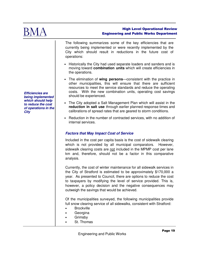

|                                                                                | The following summarizes some of the key efficiencies that are<br>currently being implemented or were recently implemented by the<br>City which should result in reductions in the future cost of<br>operations:                                                                                                                                                                                         |  |  |  |  |  |  |  |
|--------------------------------------------------------------------------------|----------------------------------------------------------------------------------------------------------------------------------------------------------------------------------------------------------------------------------------------------------------------------------------------------------------------------------------------------------------------------------------------------------|--|--|--|--|--|--|--|
|                                                                                | • Historically the City had used separate loaders and sanders and is<br>moving toward combination units which will create efficiencies in<br>the operations.                                                                                                                                                                                                                                             |  |  |  |  |  |  |  |
| <b>Efficiencies are</b><br>being implemented                                   | • The elimination of wing persons—consistent with the practice in<br>other municipalities, this will ensure that there are sufficient<br>resources to meet the service standards and reduce the operating<br>costs. With the new combination units, operating cost savings<br>should be experienced.                                                                                                     |  |  |  |  |  |  |  |
| which should help<br>to reduce the cost<br>of operations in the<br><b>City</b> | • The City adopted a Salt Management Plan which will assist in the<br>reduction in salt use through earlier planned response times and<br>calibrations of spread rates that are geared to storm conditions.                                                                                                                                                                                              |  |  |  |  |  |  |  |
|                                                                                | • Reduction in the number of contracted services, with no addition of<br>internal services.                                                                                                                                                                                                                                                                                                              |  |  |  |  |  |  |  |
|                                                                                | <b>Factors that May Impact Cost of Service</b>                                                                                                                                                                                                                                                                                                                                                           |  |  |  |  |  |  |  |
|                                                                                | Included in the cost per capita basis is the cost of sidewalk clearing<br>which is not provided by all municipal comparators.<br>However,<br>sidewalk clearing costs are not included in the MPMP cost per lane<br>km and, therefore, should not be a factor in this comparative<br>analysis.                                                                                                            |  |  |  |  |  |  |  |
|                                                                                | Currently, the cost of winter maintenance for all sidewalk services in<br>the City of Stratford is estimated to be approximately \$170,000 a<br>year. As presented to Council, there are options to reduce the cost<br>to taxpayers by modifying the level of service provided. This is,<br>however, a policy decision and the negative consequences may<br>outweigh the savings that would be achieved. |  |  |  |  |  |  |  |
|                                                                                | Of the municipalities surveyed, the following municipalities provide<br>full snow clearing service of all sidewalks, consistent with Stratford:<br><b>Brockville</b><br>Georgina<br>Grimsby<br>St. Thomas                                                                                                                                                                                                |  |  |  |  |  |  |  |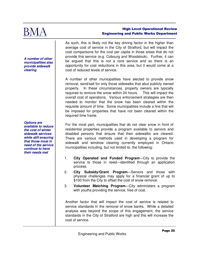

**A number of other municipalities also provide sidewalk clearing** 

**Options are available to reduce the cost of winter sidewalk services while still ensuring that those most in need of the service continue to have their needs met** 

As such, this is likely not the key driving factor in the higher than average cost of service in the City of Stratford, but will impact the cost comparisons for the cost per capita in those areas that do not provide this service (e.g. Cobourg and Woodstock). Further, it can be argued that this is not a core service and so there is an opportunity for cost reductions in this area, but it would come at a cost of reduced levels of service.

A number of other municipalities have elected to provide snow removal, sand/salt for only those sidewalks that abut publicly owned property. In these circumstances, property owners are typically required to remove the snow within 24 hours. This will impact the overall cost of operations. Various enforcement strategies are then needed to monitor that the snow has been cleared within the requisite amount of time. Some municipalities include a fine that will be imposed for properties that have not been cleared within the required time frame.

For the most part, municipalities that do not clear snow in front of residential properties provide a program available to seniors and disabled persons that ensure that their sidewalks are cleared. There are various methods used in developing a program for sidewalk and windrow clearing currently employed in Ontario municipalities including, but not limited to, the following:

- 1. **City Operated and Funded Program**—City to provide the service to those in need—identified through an application process.
- 2. **City Subsidy/Grant Program**—Seniors and those with physical challenges may apply for a financial grant of up to \$100 from the City to offset the cost of snow removal.
- 3. **Volunteer Matching Program**—City administers a program with youths providing the service, free of cost.

Another factor that will impact the cost of service is related to service standards in the removal of snow banks. While a detailed analysis was beyond the scope of this engagement, the service standards in the City of Stratford are high and this will increase the cost of service.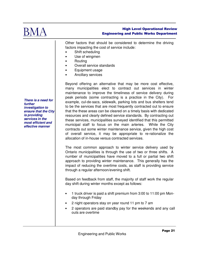

Other factors that should be considered to determine the driving factors impacting the cost of service include:

- Shift scheduling
- Use of wingmen
- Routing
- Overall service standards
- Equipment usage
- Ancillary services

Beyond offering an alternative that may be more cost effective, many municipalities elect to contract out services in winter maintenance to improve the timeliness of service delivery during peak periods (some contracting is a practice in the City). For example, cul-de-sacs, sidewalk, parking lots and bus shelters tend to be the services that are most frequently contracted out to ensure that the these areas can be cleared on a timely basis with dedicated resources and clearly defined service standards. By contracting out these services, municipalities surveyed identified that this permitted municipal staff to focus on the main arteries. While the City contracts out some winter maintenance service, given the high cost of overall service, it may be appropriate to re-rationalize the allocation of in-house versus contracted services.

The most common approach to winter service delivery used by Ontario municipalities is through the use of two or three shifts. A number of municipalities have moved to a full or partial two shift approach to providing winter maintenance. This generally has the impact of reducing the overtime costs, as staff is providing service through a regular afternoon/evening shift.

Based on feedback from staff, the majority of staff work the regular day shift during winter months except as follows:

- 1 truck driver is paid a shift premium from 3:00 to 11:00 pm Monday through Friday
- 2 night operators stay on year round 11 pm to 7 am
- 2 operators are paid standby pay for the weekends and any call outs are overtime

**There is a need for further investigation to ensure that the City is providing services in the most efficient and effective manner**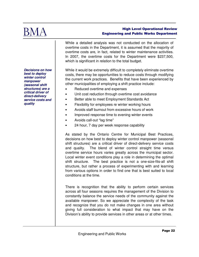

While a detailed analysis was not conducted on the allocation of overtime costs in the Department, it is assumed that the majority of overtime costs are, in fact, related to winter maintenance activities. In 2007, the overtime costs for the Department were \$237,500, which is significant in relation to the total budget.

While it would be extremely difficult to completely eliminate overtime costs, there may be opportunities to reduce costs through modifying the current work practices. Benefits that have been experienced by other municipalities of employing a shift practice include:

- Reduced overtime and expenses
- Unit cost reduction through overtime cost avoidance
- Better able to meet Employment Standards Act
- Flexibility for employees re winter working hours
- Avoids staff burnout from excessive hours of work
- Improved response time to evening winter events
- Avoids call-out "lag time"
- 24 hour, 7 day per week response capability

As stated by the Ontario Centre for Municipal Best Practices, decisions on how best to deploy winter control manpower (seasonal shift structures) are a critical driver of direct-delivery service costs and quality. The blend of winter control straight time versus overtime service hours varies greatly across the municipal sector. Local winter event conditions play a role in determining the optimal shift structure. The best practice is not a one-size-fits-all shift structure, but rather a process of experimenting with and learning from various options in order to find one that is best suited to local conditions at the time.

There is recognition that the ability to perform certain services across all four seasons requires the management of the Division to constantly balance the service needs of the community against the available manpower. So we appreciate the complexity of the task and recognize that you do not make changes in one area without giving full consideration to what impact that may have on the Division's ability to provide services in other areas or at other times.

**Decisions on how best to deploy winter control manpower (seasonal shift structures) are a critical driver of direct-delivery service costs and quality**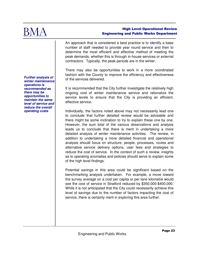

An approach that is considered a best practice is to identify a base number of staff needed to provide year round service and then to determine the most efficient and effective method of meeting the peak demands, whether this is through in-house services or external contractors. Typically, the peak periods are in the winter.

There may also be opportunities to work in a more coordinated fashion with the County to improve the efficiency and effectiveness of the services delivered.

It is recommended that the City further investigate the relatively high ongoing cost of winter maintenance service and rationalize the service levels to ensure that the City is providing an efficient, effective service.

Individually, the factors noted above may not necessarily lead one to conclude that further detailed review would be advisable and there might be some inclination to try to explain these one by one. However, the sum total of the various observations and analysis leads us to conclude that there is merit in undertaking a more detailed analysis of winter maintenance activities. The review, in addition to undertaking a more detailed financial and operational analysis should focus on structure, people, processes, routes and alternative service delivery options, user fees and strategies to reduce the cost of service. In the context of such a review, insights as to operating anomalies and policies should serve to explain some of the high level findings.

Potential savings in this area could be significant based on the benchmarking analysis undertaken. For example, a move toward the survey average on a cost per capita or per lane kilometre would see the cost of service in Stratford reduced by \$350,000-\$400,000. While it is not anticipated that the City could necessarily achieve this level of savings due to the number of factors impacting the cost of service, there is certainly merit in exploring this area further.

**Further analysis of winter maintenance operations is recommended as there may be opportunities to maintain the same level of service and reduce the overall operating costs**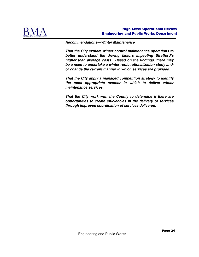

#### **Recommendations—Winter Maintenance**

**That the City explore winter control maintenance operations to better understand the driving factors impacting Stratford's higher than average costs. Based on the findings, there may be a need to undertake a winter route rationalization study and/ or change the current manner in which services are provided.** 

**That the City apply a managed competition strategy to identify the most appropriate manner in which to deliver winter maintenance services.** 

**That the City work with the County to determine if there are opportunities to create efficiencies in the delivery of services through improved coordination of services delivered.**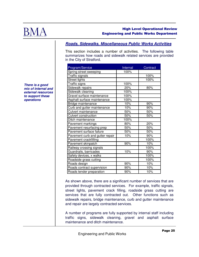

# **Roads, Sidewalks, Miscellaneous Public Works Activities**

This section includes a number of activities. The following table summarizes how roads and sidewalk related services are provided in the City of Stratford.

| Program/Service                 | Internal | Contract |
|---------------------------------|----------|----------|
| Spring street sweeping          | 100%     |          |
| Traffic signals                 |          | 100%     |
| <b>Street lights</b>            |          | 100%     |
| Traffic signs                   | 100%     |          |
| Sidewalk repairs                | 20%      | 80%      |
| Sidewalk cleaning               | 100%     |          |
| Gravel surface maintenance      | 100%     |          |
| Asphalt surface maintenance     | 100%     |          |
| Bridge maintenance              | 10%      | 90%      |
| Curb and gutter maintenance     | 10%      | 90%      |
| <b>Culvert maintenance</b>      | 50%      | 50%      |
| Culvert construction            | 50%      | 50%      |
| Ditch maintenance               | 100%     |          |
| Pavement markings               | 80%      | 20%      |
| Pavement resurfacing prep       | 50%      | 50%      |
| Pavement surface failure        | 50%      | 50%      |
| Pavement curb and gutter repair | 10%      | 90%      |
| Pavement crackfilling           |          | 100%     |
| Pavement skinpatch              | 90%      | 10%      |
| Railway crossing signals        |          | 100%     |
| Guardrails, barricades          | 10%      | 90%      |
| Safety devices, x walks         |          | 100%     |
| Roadside grass cutting          |          | 100%     |
| Roads design                    | 90%      | 10%      |
| Roads contract supervision      | 90%      | 10%      |
| Roads tender preparation        | 90%      | 10%      |

As shown above, there are a significant number of services that are provided through contracted services. For example, traffic signals, street lights, pavement crack filling, roadside grass cutting are services that are fully contracted out. Other functions such as sidewalk repairs, bridge maintenance, curb and gutter maintenance and repair are largely contracted services.

A number of programs are fully supported by internal staff including traffic signs, sidewalk cleaning, gravel and asphalt surface maintenance and ditch maintenance.

**There is a good mix of internal and external resources to support these operations**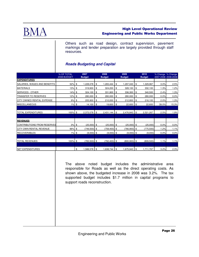

Others such as road design, contract supervision, pavement markings and tender preparation are largely provided through staff resources.

# **Roads Budgeting and Capital**

|                                    | % OF TOTAL<br>2008 BUDGET |      | 2007<br><b>Budget</b> | 2008<br><b>Budget</b> |                 | 2009<br><b>Budget</b> | 2010<br><b>Budget</b> |            |       | % Change % Change<br>2007-2008 2008-2009 |
|------------------------------------|---------------------------|------|-----------------------|-----------------------|-----------------|-----------------------|-----------------------|------------|-------|------------------------------------------|
| <b>EXPENDITURES</b>                |                           |      |                       |                       |                 |                       |                       |            |       |                                          |
| SALARIES, WAGES AND BENEFITS       | 52%                       | \$   | 1,228,078             | \$                    | 1,265,444       | \$<br>1,297,043       | \$                    | 1,329,967  | 3.0%  | 2.5%                                     |
| <b>MATERIALS</b>                   | 13% \$                    |      | 319,900               | \$                    | 324,200         | \$<br>$328,100$ \$    |                       | 332,100    | 1.3%  | 1.2%                                     |
| <b>SERVICES - OTHER</b>            | 14%                       | \$   | 324,100               | \$                    | 331,900         | \$<br>336,300         | \$                    | 340,500    | 2.4%  | 1.3%                                     |
| TRANSFER TO RESERVES               | 12%                       | \$   | 280,000               | \$                    | 280,000         | \$<br>280,000         | \$                    | 280,000    | 0.0%  | 0.0%                                     |
| <b>CITY OWNED RENTAL EXPENSE</b>   | 9%                        | \$   | 205,900               | \$                    | 210,000         | \$<br>212,800         | \$                    | 216,100    | 2.0%  | 1.3%                                     |
| <b>MISCELLANEOUS</b>               | 1%                        | l \$ | 14,100                | \$                    | 19,600          | \$<br>22,600          | \$                    | 22.600     | 39.0% | 15.3%                                    |
|                                    |                           |      |                       |                       |                 |                       |                       |            |       |                                          |
| <b>TOTAL EXPENDITURES</b>          | $100\%$ \$                |      | 2,372,078             | \$                    | 2,431,144       | \$<br>$2,476,843$ \$  |                       | 2,521,267  | 2.5%  | 1.9%                                     |
|                                    |                           |      |                       |                       |                 |                       |                       |            |       |                                          |
| <b>REVENUES</b>                    |                           |      |                       |                       |                 |                       |                       |            |       |                                          |
| <b>CONTRIBUTIONS FROM RESERVES</b> | 3%5                       |      | $(25,000)$ \$         |                       | $(25,000)$ \$   | $(25,000)$ \$         |                       | (25,000)   | 0.0%  | 0.0%                                     |
| <b>CITY OWN RENTAL REVENUE</b>     | 96%                       | l \$ | $(749,500)$ \$        |                       | $(758, 400)$ \$ | $(766,900)$ \$        |                       | (775, 500) | 1.2%  | 1.1%                                     |
| <b>RECOVERABLES</b>                | $1\%$ \$                  |      | $(9,000)$ \$          |                       | $(9,000)$ \$    | $(9,000)$ \$          |                       | (9,000)    | 0.0%  | 0.0%                                     |
|                                    |                           |      |                       |                       |                 |                       |                       |            |       |                                          |
| <b>TOTAL REVENUES</b>              | $100\%$ \$                |      | $(783,500)$ \$        |                       | $(792, 400)$ \$ | $(800, 900)$ \$       |                       | (809, 500) | 1.1%  | 1.1%                                     |
|                                    |                           |      |                       |                       |                 |                       |                       |            |       |                                          |
| NET EXPENDITURES                   |                           | \$   | 1,588,578             | \$                    | 1,638,744       | \$<br>1,675,943       | l \$                  | 1,711,767  | 3.2%  | 2.3%                                     |

The above noted budget includes the administrative area responsible for Roads as well as the direct operating costs. As shown above, the budgeted increase in 2008 was 3.2%. The tax supported budget includes \$1.7 million in capital programs to support roads reconstruction.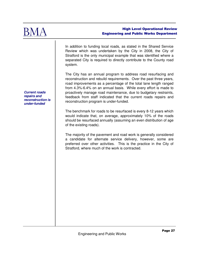

In addition to funding local roads, as stated in the Shared Service Review which was undertaken by the City in 2008, the City of Stratford is the only municipal example that was identified where a separated City is required to directly contribute to the County road system.

The City has an annual program to address road resurfacing and reconstruction and rebuild requirements. Over the past three years, road improvements as a percentage of the total lane length ranged from 4.3%-6.4% on an annual basis. While every effort is made to proactively manage road maintenance, due to budgetary restraints, feedback from staff indicated that the current roads repairs and reconstruction program is under-funded.

The benchmark for roads to be resurfaced is every 8-12 years which would indicate that, on average, approximately 10% of the roads should be resurfaced annually (assuming an even distribution of age of the existing roads).

The majority of the pavement and road work is generally considered a candidate for alternate service delivery, however, some are preferred over other activities. This is the practice in the City of Stratford, where much of the work is contracted.

**Current roads repairs and reconstruction is under-funded**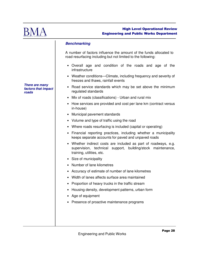

#### **Benchmarking**

A number of factors influence the amount of the funds allocated to road resurfacing including but not limited to the following:

- Overall age and condition of the roads and age of the infrastructure
- Weather conditions—Climate, including frequency and severity of freezes and thaws, rainfall events
- Road service standards which may be set above the minimum regulated standards
- Mix of roads (classifications) Urban and rural mix
- How services are provided and cost per lane km (contract versus in-house)
- Municipal pavement standards
- Volume and type of traffic using the road
- Where roads resurfacing is included (capital or operating)
- Financial reporting practices, including whether a municipality keeps separate accounts for paved and unpaved roads
- Whether indirect costs are included as part of roadways, e.g. supervision, technical support, building/stock maintenance, training, utilities, etc.
- Size of municipality
- Number of lane kilometres
- Accuracy of estimate of number of lane kilometres
- Width of lanes affects surface area maintained
- Proportion of heavy trucks in the traffic stream
- Housing density, development patterns, urban form
- Age of equipment
- Presence of proactive maintenance programs

**There are many factors that impact roads**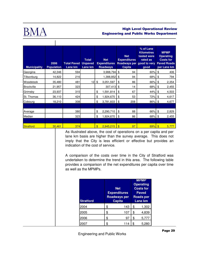

 $\mathbf{I}$ 

# High Level Operational Review Engineering and Public Works Department

| <b>Municipality</b> | 2006<br><b>Population</b> | <b>Total Paved</b><br>Lane km | <b>Total</b><br><b>Unpaved</b><br>Lane km | <b>Net</b><br><b>Expenditures</b><br><b>Roadways</b> | <b>Net</b><br><b>Expenditures</b><br>Roadways per good to very<br><b>Capita</b> | % of Lane<br><b>Kilometres</b><br>tested were<br>rated as<br>good | <b>MPMP</b><br><b>Operating</b><br><b>Costs for</b><br><b>Paved Roads</b><br>per Lane km |
|---------------------|---------------------------|-------------------------------|-------------------------------------------|------------------------------------------------------|---------------------------------------------------------------------------------|-------------------------------------------------------------------|------------------------------------------------------------------------------------------|
| Georgina            | 42,346                    | 594                           |                                           | 3,988,794                                            | \$<br>94                                                                        | 60%                                                               | \$<br>406                                                                                |
| Tillsonburg         | 14,822                    | 216                           |                                           | 1,388,852                                            | \$<br>94                                                                        | 68%                                                               | \$<br>794                                                                                |
| Woodstock           | 35,480                    | 481                           | 12                                        | \$<br>3,051,597                                      | \$<br>86                                                                        | 66%                                                               | 2,354<br>\$                                                                              |
| <b>Brockville</b>   | 21,957                    | 323                           |                                           | 307,413                                              | \$<br>14                                                                        | 68%                                                               | \$<br>2,455                                                                              |
| Grimsby             | 23,937                    | 315                           |                                           | \$<br>1,591,814                                      | \$<br>67                                                                        | 44%                                                               | \$<br>4,503                                                                              |
| St. Thomas          | 36,110                    | 424                           |                                           | \$<br>1,924,670                                      | \$<br>53                                                                        | 72%                                                               | \$<br>4,617                                                                              |
| Cobourg             | 18,210                    | 308                           |                                           | \$<br>3,781,833                                      | \$<br>208                                                                       | 86%                                                               | 4,677<br>\$                                                                              |
|                     |                           |                               |                                           |                                                      |                                                                                 |                                                                   |                                                                                          |
| Average             |                           | 380                           |                                           | \$<br>2,290,710                                      | \$<br>88                                                                        | 66%                                                               | \$<br>2,829                                                                              |
| Median              |                           | 323                           |                                           | \$<br>1,924,670                                      | \$<br>86                                                                        | 68%                                                               | \$<br>2,455                                                                              |
|                     |                           |                               |                                           |                                                      |                                                                                 |                                                                   |                                                                                          |
| Stratford           | 30,461                    | 374                           |                                           | $\overline{\mathbb{S}}$<br>2,945,215                 | $\mathbf{\$}$<br>97                                                             | 69%                                                               | 5,777<br>$\mathbf{\$}$                                                                   |

As illustrated above, the cost of operations on a per capita and per lane km basis are higher than the survey average. This does not imply that the City is less efficient or effective but provides an indication of the cost of service.

A comparison of the costs over time in the City of Stratford was undertaken to determine the trend in this area. The following table provides a comparison of the net expenditures per capita over time as well as the MPMPs.

| <b>Stratford</b> |    | <b>Net</b><br><b>Expenditures</b><br><b>Roadways per</b><br><b>Capita</b> | <b>MPMP</b><br><b>Operating</b><br><b>Costs for</b><br><b>Paved</b><br><b>Roads per</b><br>Lane km |       |  |  |  |
|------------------|----|---------------------------------------------------------------------------|----------------------------------------------------------------------------------------------------|-------|--|--|--|
| 2004             | \$ | 143                                                                       | \$                                                                                                 | 1,302 |  |  |  |
| 2005             | \$ | 107                                                                       | \$                                                                                                 | 4,839 |  |  |  |
| 2006             | \$ | 97                                                                        | \$                                                                                                 | 5,777 |  |  |  |
|                  | Я. | 14                                                                        |                                                                                                    | 5,28  |  |  |  |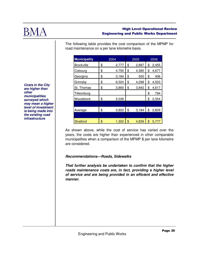

The following table provides the cost comparison of the MPMP for road maintenance on a per lane kilometre basis.

| <b>Municipality</b> | 2004        | 2005        | 2006        |
|---------------------|-------------|-------------|-------------|
| <b>Brockville</b>   | \$<br>2,777 | \$<br>2,897 | \$<br>2,455 |
| Cobourg             | \$<br>4,750 | \$<br>4,385 | \$<br>4,677 |
| Georgina            | \$<br>3,184 | \$<br>500   | \$<br>406   |
| Grimsby             | \$<br>6,324 | \$<br>4,298 | \$<br>4,503 |
| St. Thomas          | \$<br>3,860 | \$<br>3,842 | \$<br>4,617 |
| Tillsonburg         |             |             | \$<br>794   |
| Woodstock           | \$<br>2,036 |             | \$<br>2,354 |
|                     |             |             |             |
| Average             | \$<br>3,822 | \$<br>3,184 | \$<br>2,829 |
|                     |             |             |             |
| <b>Stratford</b>    | \$<br>1,302 | \$<br>4,839 | \$<br>5,777 |

**Costs in the City are higher than other municipalities surveyed which may mean a higher level of investment is being made into the existing road infrastructure** 

> As shown above, while the cost of service has varied over the years, the costs are higher than experienced in other comparable municipalities when a comparison of the MPMP \$ per lane kilometre are considered.

# **Recommendations—Roads, Sidewalks**

**That further analysis be undertaken to confirm that the higher roads maintenance costs are, in fact, providing a higher level of service and are being provided in an efficient and effective manner.**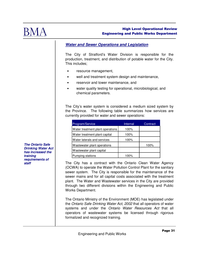

# **Water and Sewer Operations and Legislation**

The City of Stratford's Water Division is responsible for the production, treatment, and distribution of potable water for the City. This includes;

- resource management,
- well and treatment system design and maintenance,
- reservoir and tower maintenance, and
- water quality testing for operational, microbiological, and chemical parameters.

The City's water system is considered a medium sized system by the Province. The following table summarizes how services are currently provided for water and sewer operations:

| Program/Service                  | Internal | Contract |
|----------------------------------|----------|----------|
| Water treatment plant operations | 100%     |          |
| Water treatment plant capital    | 100%     |          |
| Water laterals and services      | 100%     |          |
| Wastewater plant operations      |          | 100%     |
| Wastewater plant capital         |          |          |
| Pumping stations                 | 100%     |          |

The City has a contract with the Ontario Clean Water Agency (OCWA) to operate the Water Pollution Control Plant for the sanitary sewer system. The City is responsible for the maintenance of the sewer mains and for all capital costs associated with the treatment plant. The Water and Wastewater services in the City are provided through two different divisions within the Engineering and Public Works Department.

The Ontario Ministry of the Environment (MOE) has legislated under the Ontario Safe Drinking Water Act, 2002 that all operators of water systems and under the Ontario Water Resources Act that all operators of wastewater systems be licensed through rigorous formalized and recognized training.

**The Ontario Safe Drinking Water Act has increased the training requirements of staff**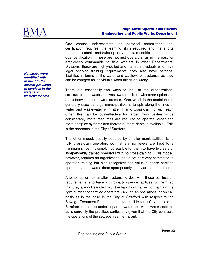

**No issues were identified with respect to the current provision of services in the water and wastewater area** 

#### High Level Operational Review Engineering and Public Works Department

One cannot underestimate the personal commitment that certification requires, the learning skills required and the efforts required to obtain and subsequently maintain certification, let alone dual certification. These are not just operators, as in the past, or employees comparable to field workers in other Departments/ Divisions; these are highly-skilled and trained individuals who have legal ongoing training requirements; they also have personal liabilities in terms of the water and wastewater systems, i.e. they can be charged as individuals when things go wrong.

There are essentially two ways to look at the organizational structure for the water and wastewater utilities, with other options as a mix between these two extremes. One, which is the model that is generally used by large municipalities, is to split along the lines of water and wastewater with little, if any, cross-training with each other; this can be cost-effective for larger municipalities since considerably more resources are required to operate larger and more complex systems and therefore, more depth is available. This is the approach in the City of Stratford.

The other model, usually adopted by smaller municipalities, is to fully cross-train operators so that staffing levels are kept to a minimum since it is simply not feasible for them to have two sets of independently trained operators with no cross-training. This model, however, requires an organization that is not only very committed to operator training but also recognizes the value of these certified operators and rewards them appropriately if they are to retain them.

Another option for smaller systems to deal with these certification requirements is to have a third-party operate facilities for them, so that they are not saddled with the liability of having to maintain the right number of certified operators 24/7, on an operational or on-call basis as is the case in the City of Stratford with respect to the Sewage Treatment Plant. It is quite feasible for a City the size of Stratford to operate under separate water and wastewater sections as is currently the practice, particularly given that the City contracts the operations of the sewage treatment plant.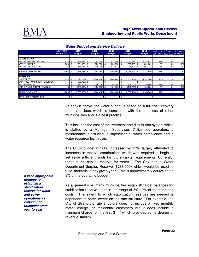

|                             |                           | ັ                     |     |                       |      |                       |     | -                     |                       |     |                            |                               |
|-----------------------------|---------------------------|-----------------------|-----|-----------------------|------|-----------------------|-----|-----------------------|-----------------------|-----|----------------------------|-------------------------------|
|                             | % OF TOTAL<br>2008 BUDGET | 2007<br><b>Budget</b> |     | 2008<br><b>Budget</b> |      | 2009<br><b>Budget</b> |     | 2010<br><b>Budget</b> | 2011<br><b>Budget</b> |     | % Change % Change % Change | 2007-2008 2008-2009 2009-2010 |
|                             |                           |                       |     |                       |      |                       |     |                       |                       |     |                            |                               |
| <b>EXPENDITURES</b>         |                           |                       |     |                       |      |                       |     |                       |                       |     |                            |                               |
| <b>WATER ADMINISTRATION</b> | 53% \$                    | ,759,235              | \$  | $2,083,278$ \$        |      | 2,074,080             | -\$ | $2,093,157$ \$        | 2,142,613             | 18% | 0%                         | 1%                            |
| <b>WATER SUPPLY</b>         | $25%$ \$                  | 924,078               | -\$ | 980,280               | - \$ | 1,008,975             | -\$ | $1,028,423$ \$        | 1,051,204             | 6%  | 3%                         | 2%                            |
| <b>WATER DISTRIBUTION</b>   | $23%$ \$                  | 874,755               | \$  | 900,910 \$            |      | 917,413               | -\$ | 934,824 \$            | 954,723               | 3%  | 2%                         | 2%                            |
|                             |                           |                       |     |                       |      |                       |     |                       |                       |     |                            |                               |
| <b>TOTAL EXPENDITURES</b>   | $100\%$ \$                | $3,558,068$ \$        |     | $3,964,468$ \$        |      | 4,000,468 \$          |     | 4,056,404 \$          | 4,148,540             | 11% | 1%                         | 1%                            |
|                             |                           |                       |     |                       |      |                       |     |                       |                       |     |                            |                               |
| <b>REVENUES</b>             |                           |                       |     |                       |      |                       |     |                       |                       |     |                            |                               |
| <b>USER FEES</b>            | 95% \$                    | $(3,326,133)$ \$      |     | $(3,768,468)$ \$      |      | $(3,804,468)$ \$      |     | $(3,860,404)$ \$      | (3,952,540)           | 13% | 1%                         | 1%                            |
| CONTRIBUTIONS FROM RESERVES |                           | $(50, 735)$ \$        |     |                       |      |                       |     |                       |                       |     |                            |                               |
| <b>RECOVERABLES</b>         | $1\%$ \$                  | $(31,200)$ \$         |     | $(46,000)$ \$         |      | $(46,000)$ \$         |     | $(46,000)$ \$         | (46,000)              | 47% | 0%                         | 0%                            |
| CITY OWNED RENTAL REVENUE   | $4%$ \$                   | $(150,000)$ \$        |     | (150,000) \$          |      | $(150,000)$ \$        |     | $(150,000)$ \$        | (150,000)             | 0%  | 0%                         | 0%                            |
|                             |                           |                       |     |                       |      |                       |     |                       |                       |     |                            |                               |
| <b>TOTAL REVENUES</b>       | 100% \$                   | $(3,558,068)$ \$      |     | $(3,964,468)$ \$      |      | $(4,000,468)$ \$      |     | $(4,056,404)$ \$      | (4, 148, 540)         | 11% | 1%                         | 1%                            |
|                             |                           |                       |     |                       |      |                       |     |                       |                       |     |                            |                               |
| TOTAL NET EXPENDITURES      |                           | \$                    | \$  |                       |      |                       | \$  | $\overline{a}$        | \$                    |     |                            |                               |

#### **Water Budget and Service Delivery**

As shown above, the water budget is based on a full cost recovery from user fees which is consistent with the practices of other municipalities and is a best practice.

This includes the cost of the treatment and distribution system which is staffed by a Manager, Supervisor, 7 licensed operators, a maintenance electrician, a supervisor of water compliance and a water resource technician.

The City's budget in 2008 increased by 11%, largely attributed to increases in reserve contributions which was required to begin to set aside sufficient funds for future capital requirements. Currently, there is no capital reserve for water. The City has a Water Department Surplus Reserve (\$288,000) which would be used to fund shortfalls in any given year. This is approximately equivalent to 8% of the operating budget.

As a general rule, many municipalities establish target balances for stabilization reserve funds in the range of 5%-10% of the operating costs. The extent to which stabilization reserves are needed is dependent to some extent on the rate structure. For example, the City of Stratford's rate structure does not include a fixed monthly meter charge for residential customers but it does include a minimum charge for the first 3  $m<sup>3</sup>$  which provides some degree of revenue stability.

**It is an appropriate strategy to establish a stabilization reserve for water and sewer operations as consumption fluctuates from year to year**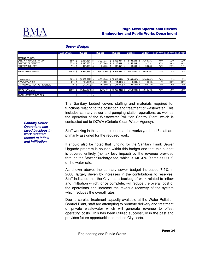

|                                   |             | JEWEI DUUYEL |                  |      |               |                                                                  |     |               |     |                          |      |                               |      |
|-----------------------------------|-------------|--------------|------------------|------|---------------|------------------------------------------------------------------|-----|---------------|-----|--------------------------|------|-------------------------------|------|
|                                   | 2008 BUDGET |              | <b>Budget</b>    |      | <b>Budget</b> | <b>Budget</b>                                                    |     | <b>Budget</b> |     | <b>Budget</b>            |      | 2007-2008 2008-2009 2009-2010 |      |
|                                   |             |              |                  |      |               |                                                                  |     |               |     |                          |      |                               |      |
| <b>EXPENDITURES</b>               |             |              |                  |      |               |                                                                  |     |               |     |                          |      |                               |      |
| SANITARY ADMINISTRATION           | 69%         | \$           | 3,034,364        |      | 3,325,171     | \$<br>3,366,007                                                  |     | 3,408,288     |     | 3,364,131                | 9.6% | 1.2%                          | 1.3% |
| SANITARY TREATMENT                | 22%         |              | 1,043,633        |      | 1,077,849     | \$<br>1,116,484                                                  |     | 1,156,594     |     | 1,191,291                | 3.3% | 3.6%                          | 3.6% |
| <b>SANITARY COLLECT</b>           | 9%          | -\$          | $416,000$ \$     |      | 426,720       | \$<br>$437,350$ \$                                               |     | 448,000       | -\$ | 458,880                  | 2.6% | 2.5%                          | 2.4% |
|                                   |             |              |                  |      |               |                                                                  |     |               |     |                          |      |                               |      |
| TOTAL EXPENDITURES                | 100%        | \$           | 4,493,997        | - \$ | 4,829,740     | \$<br>4,919,841                                                  | -\$ | 5,012,882     | \$  | 5,014,302                | 7.5% | 1.9%                          | 1.9% |
|                                   |             |              |                  |      |               |                                                                  |     |               |     |                          |      |                               |      |
|                                   |             |              |                  |      |               |                                                                  |     |               |     |                          |      |                               |      |
| USER FEES                         | 98%         |              | $(4,389,697)$ \$ |      |               | $(4,723,840)$ \$ $(4,812,441)$                                   | \$  | (4,904,082)   | \$  | (4,904,082)              | 7.6% | 1.9%                          | 1.9% |
| <b>IRECOVERABLES</b>              | 0%          | \$           | $(13,800)$ \$    |      | $(14,000)$ \$ | $(14,000)$ \$                                                    |     | $(14,000)$ \$ |     | (14,000)                 | 1.4% | 0.0%                          | 0.0% |
| <b>ICITY OWNED RENTAL REVENUE</b> | 2%          | -\$          | $(90,500)$ \$    |      | $(91,900)$ \$ | $(93,400)$ \$                                                    |     | $(94,800)$ \$ |     | (96, 220)                | 1.5% | 1.6%                          | 1.5% |
|                                   |             |              |                  |      |               |                                                                  |     |               |     |                          |      |                               |      |
| <b>TOTAL REVENUES</b>             | 100%        | \$           | $(4,493,997)$ \$ |      |               | $(4,829,740)$ \$ $(4,919,841)$ \$ $(5,012,882)$ \$ $(5,014,302)$ |     |               |     |                          | 7.5% | 1.9%                          | 1.9% |
|                                   |             |              |                  |      |               |                                                                  |     |               |     |                          |      |                               |      |
| TOTAL NET EXPENDITURES            |             | \$           | -                |      |               | \$<br>$\overline{\phantom{a}}$                                   | \$  | -             | \$  | $\overline{\phantom{a}}$ |      |                               |      |
|                                   |             |              |                  |      |               |                                                                  |     |               |     |                          |      |                               |      |

**Sewer Budget** 

The Sanitary budget covers staffing and materials required for functions relating to the collection and treatment of wastewater. This includes sanitary sewer and pumping station operations as well as the operation of the Wastewater Pollution Control Plant, which is contracted out to OCWA (Ontario Clean Water Agency).

Staff working in this area are based at the works yard and 5 staff are primarily assigned for the required work.

It should also be noted that funding for the Sanitary Trunk Sewer Upgrade program is housed within this budget and that this budget is covered entirely (no tax levy impact) by the revenue provided through the Sewer Surcharge fee, which is 140.4 % (same as 2007) of the water rate.

As shown above, the sanitary sewer budget increased 7.5% in 2008, largely driven by increases in the contributions to reserves. Staff indicated that the City has a backlog of work related to inflow and infiltration which, once complete, will reduce the overall cost of the operations and increase the revenue recovery of the system which reduces the overall rates.

Due to surplus treatment capacity available at the Water Pollution Control Plant, staff are attempting to promote delivery and treatment of private wastewater which will generate revenue to offset operating costs. This has been utilized successfully in the past and provides future opportunities to reduce City costs.

**Sanitary Sewer Operations has faced backlogs in work required related to inflow and infiltration**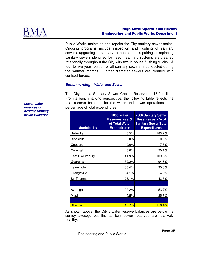

Public Works maintains and repairs the City sanitary sewer mains. Ongoing programs include inspection and flushing of sanitary sewers, upgrading of sanitary manholes and repairing or replacing sanitary sewers identified for need. Sanitary systems are cleaned rotationally throughout the City with two in house flushing trucks. A four to five year rotation of all sanitary sewers is conducted during the warmer months. Larger diameter sewers are cleaned with contract forces.

## **Benchmarking—Water and Sewer**

The City has a Sanitary Sewer Capital Reserve of \$5.2 million. From a benchmarking perspective, the following table reflects the total reserve balances for the water and sewer operations as a percentage of total expenditures.

| <b>Municipality</b> | 2006 Water<br><b>Reserves as a %</b><br>of Total Water<br><b>Expenditures</b> | <b>2006 Sanitary Sewer</b><br>Reserves as a % of<br><b>Sanitary Sewer Total</b><br><b>Expenditures</b> |
|---------------------|-------------------------------------------------------------------------------|--------------------------------------------------------------------------------------------------------|
| <b>Belleville</b>   | 5.5%                                                                          | 183.2%                                                                                                 |
| <b>Brockville</b>   | 0.0%                                                                          | 0.0%                                                                                                   |
| Cobourg             | $0.0\%$                                                                       | $-7.8%$                                                                                                |
| Cornwall            | 3.0%                                                                          | 20.1%                                                                                                  |
| East Gwillimbury    | 41.9%                                                                         | 109.6%                                                                                                 |
| Georgina            | 32.2%                                                                         | 94.6%                                                                                                  |
| Leamington          | 88.4%                                                                         | 35.8%                                                                                                  |
| Orangeville         | 4.1%                                                                          | 4.2%                                                                                                   |
| St. Thomas          | 25.1%                                                                         | 43.5%                                                                                                  |
|                     |                                                                               |                                                                                                        |
| Average             | 22.2%                                                                         | 53.7%                                                                                                  |
| Median              | 5.5%                                                                          | 35.8%                                                                                                  |
|                     |                                                                               |                                                                                                        |
| <b>Stratford</b>    | 13.7%                                                                         | <b>116.4%</b>                                                                                          |

As shown above, the City's water reserve balances are below the survey average but the sanitary sewer reserves are relatively healthy.

**Lower water reserves but healthy sanitary sewer reserves**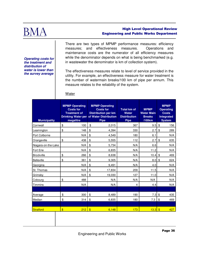

**Operating costs for the treatment and distribution of water is lower than the survey average** 

There are two types of MPMP performance measures: efficiency measures; and effectiveness measures. Operations and maintenance costs are the numerator of all efficiency measures while the denominator depends on what is being benchmarked (e.g. in wastewater the denominator is km of collection system).

The effectiveness measures relate to level of service provided in the utility. For example, an effectiveness measure for water treatment is the number of watermain breaks/100 km of pipe per annum. This measure relates to the reliability of the system.

#### **Water**

| <b>Municipality</b> | <b>MPMP Operating</b><br><b>Costs for</b><br><b>Treatment of</b><br>megalitre | <b>MPMP Operating</b><br><b>Costs for</b><br><b>Distribution per km</b><br>Drinking Water per of Water Distribution<br><b>Pipe</b> | <b>Total km of</b><br><b>Water</b><br><b>Distribution</b><br><b>Pipe</b> | <b>MPMP</b><br><b>Water Main</b><br><b>Breaks</b><br>/100km | <b>MPMP</b><br><b>Operating</b><br><b>Costs</b><br><b>Integrated</b><br><b>System</b> |  |
|---------------------|-------------------------------------------------------------------------------|------------------------------------------------------------------------------------------------------------------------------------|--------------------------------------------------------------------------|-------------------------------------------------------------|---------------------------------------------------------------------------------------|--|
| Cornwall            | \$<br>100                                                                     | \$<br>2,015                                                                                                                        | 367                                                                      | 9.5                                                         | \$<br>156                                                                             |  |
| Leamington          | \$<br>148                                                                     | \$<br>4,394                                                                                                                        | 330                                                                      | 2.7                                                         | \$<br>289                                                                             |  |
| Port Colborne       | N/A                                                                           | \$<br>4.549                                                                                                                        | 180                                                                      | 6.1                                                         | N/A                                                                                   |  |
| Orangeville         | \$<br>438                                                                     | \$<br>5,555                                                                                                                        | 112                                                                      | 2.7                                                         | \$<br>635                                                                             |  |
| Niagara-on-the-Lake | N/A                                                                           | \$<br>5,734                                                                                                                        | N/A                                                                      | 6.6                                                         | N/A                                                                                   |  |
| <b>Fort Erie</b>    | N/A                                                                           | \$<br>6,835                                                                                                                        | N/A                                                                      | 11.2                                                        | N/A                                                                                   |  |
| <b>Brockville</b>   | \$<br>266                                                                     | \$<br>8,638                                                                                                                        | N/A                                                                      | 10.4                                                        | \$<br>469                                                                             |  |
| <b>Belleville</b>   | \$<br>361                                                                     | \$<br>9,305                                                                                                                        | N/A                                                                      | 8.0                                                         | \$<br>624                                                                             |  |
| Georgina            | N/A                                                                           | \$<br>9,491                                                                                                                        | N/A                                                                      | 4.0                                                         | N/A                                                                                   |  |
| St. Thomas          | N/A                                                                           | \$<br>17,834                                                                                                                       | 209                                                                      | 11.5                                                        | N/A                                                                                   |  |
| Grimsby             | N/A                                                                           | \$<br>19,030                                                                                                                       | 127                                                                      | 11.0                                                        | N/A                                                                                   |  |
| Cobourg             | \$<br>488                                                                     | N/A                                                                                                                                | N/A                                                                      | N/A                                                         | N/A                                                                                   |  |
| <b>Timmins</b>      | N/A                                                                           | N/A                                                                                                                                | 4                                                                        | 4.4                                                         | N/A                                                                                   |  |
|                     |                                                                               |                                                                                                                                    |                                                                          |                                                             |                                                                                       |  |
| Average             | \$<br>300                                                                     | \$<br>8,489                                                                                                                        | 190                                                                      | 7.3                                                         | \$<br>435                                                                             |  |
| Median              | \$<br>314                                                                     | \$<br>6,835                                                                                                                        | 180                                                                      | 7.3                                                         | \$<br>469                                                                             |  |
|                     |                                                                               |                                                                                                                                    |                                                                          |                                                             |                                                                                       |  |
| Stratford           | $\sqrt{3}$<br>212                                                             | $\sqrt{3}$<br>6,148                                                                                                                | 173                                                                      | 13.3                                                        | $\sqrt{3}$<br>427                                                                     |  |
|                     |                                                                               |                                                                                                                                    |                                                                          |                                                             |                                                                                       |  |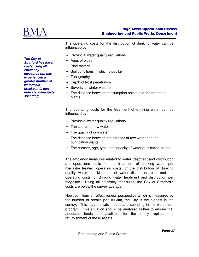

The operating costs for the distribution of drinking water can be influenced by:

- Provincial water quality regulations
- Ages of pipes
- Pipe material
- Soil conditions in which pipes lay
- Topography
- Depth of frost penetration
- Severity of winter weather
- The distance between consumption points and the treatment plants

The operating costs for the treatment of drinking water can be influenced by:

- Provincial water quality regulations
- The source of raw water
- The quality of raw water
- The distance between the sources of raw water and the purification plants
- The number, age, type and capacity of water purification plants

The efficiency measures related to water treatment and distribution are operations costs for the treatment of drinking water per megalitre treated, operating costs for the distribution of drinking quality water per kilometer of water distribution pipe and the operating costs for drinking water treatment and distribution per megalitre. Using all efficiency measures, the City of Stratford's costs are below the survey average.

However, from an effectiveness perspective which is measured by the number of breaks per 100/km, the City is the highest in the survey. This may indicate inadequate spending in the watermain program. This situation should be analyzed further to ensure that adequate funds are available for the timely replacement/ refurbishment of these assets.

**The City of Stratford has lower costs using all efficiency measures but has experienced a greater number of watermain breaks..this may indicate inadequate spending**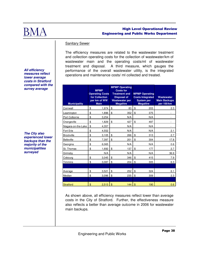

#### Sanitary Sewer

The efficiency measures are related to the wastewater treatment and collection operating costs for the collection of wastewater/km of wastewater main and the operating costs/ml of wastewater treatment and disposal. A third measure, which gauges the performance of the overall wastewater utility, is the integrated operations and maintenance costs/ ml collected and treated.

| <b>Municipality</b> | <b>MPMP</b><br><b>Operating Costs</b><br>for Collection<br>per km of WW<br><b>Main</b> |               | <b>MPMP Operating</b><br><b>Costs for</b><br><b>Treatment and</b><br><b>Disposal of</b><br><b>Wastewater per</b><br><b>Megalitre</b> |               | <b>MPMP Operating</b><br><b>Costs Integrated</b><br><b>System per</b><br><b>Megalitre</b> | Wastewater<br><b>Main Backups</b><br>per 100/km |
|---------------------|----------------------------------------------------------------------------------------|---------------|--------------------------------------------------------------------------------------------------------------------------------------|---------------|-------------------------------------------------------------------------------------------|-------------------------------------------------|
| Cornwall            | \$<br>1,974                                                                            | \$            | 83                                                                                                                                   | \$            | 203                                                                                       | 2.3                                             |
| Leamington          | \$<br>1,896                                                                            | \$            | 352                                                                                                                                  | \$            | 375                                                                                       |                                                 |
| Port Colborne       | \$<br>3,254                                                                            |               | N/A                                                                                                                                  |               | N/A                                                                                       | ٠                                               |
| Orangeville         | \$<br>1,829                                                                            | \$            | 427                                                                                                                                  | \$            | 497                                                                                       |                                                 |
| Niagara-on-the-Lake | \$<br>4,357                                                                            |               | N/A                                                                                                                                  |               | N/A                                                                                       |                                                 |
| Fort Erie           | \$<br>4,552                                                                            |               | N/A                                                                                                                                  |               | N/A                                                                                       | 2.1                                             |
| <b>Brockville</b>   | \$<br>3,105                                                                            | \$            | 266                                                                                                                                  | \$            | 313                                                                                       | 2.7                                             |
| <b>Belleville</b>   | \$<br>7,397                                                                            | \$            | 201                                                                                                                                  | \$            | 304                                                                                       | 17.8                                            |
| Georgina            | \$<br>6,065                                                                            |               | N/A                                                                                                                                  |               | N/A                                                                                       | 0.6                                             |
| St. Thomas          | \$<br>1,692                                                                            | \$            | 137                                                                                                                                  | \$            | 177                                                                                       | 2.7                                             |
| Grimsby             | N/A                                                                                    |               | N/A                                                                                                                                  |               | N/A                                                                                       | 36.9                                            |
| Cobourg             | \$<br>3,045                                                                            | \$            | 346                                                                                                                                  | \$            | 415                                                                                       | 7.9                                             |
| Timmins             | \$<br>3,087                                                                            | \$            | 204                                                                                                                                  | \$            | 305                                                                                       | 6.3                                             |
|                     |                                                                                        |               |                                                                                                                                      |               |                                                                                           |                                                 |
| Average             | \$<br>3,521                                                                            | \$            | 252                                                                                                                                  | \$            | 324                                                                                       | 6.1                                             |
| Median              | \$<br>3,096                                                                            | \$            | 235                                                                                                                                  | \$            | 309                                                                                       | 2.3                                             |
|                     |                                                                                        |               |                                                                                                                                      |               |                                                                                           |                                                 |
| <b>Stratford</b>    | \$<br>2,513                                                                            | $\mathbf{\$}$ | 144                                                                                                                                  | $\mathbf{\$}$ | 190                                                                                       | 0.6                                             |

**All efficiency measures reflect lower average costs in Stratford compared with the survey average** 

**The City also experienced lower backups than the majority of the municipalities surveyed** 

> As shown above, all efficiency measures reflect lower than average costs in the City of Stratford. Further, the effectiveness measure also reflects a better than average outcome in 2006 for wastewater main backups.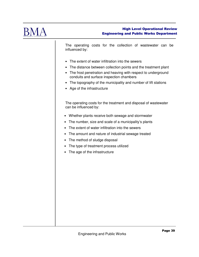

The operating costs for the collection of wastewater can be influenced by:

- The extent of water infiltration into the sewers
- The distance between collection points and the treatment plant
- The frost penetration and heaving with respect to underground conduits and surface inspection chambers
- The topography of the municipality and number of lift stations
- Age of the infrastructure

The operating costs for the treatment and disposal of wastewater can be influenced by:

- Whether plants receive both sewage and stormwater
- The number, size and scale of a municipality's plants
- The extent of water infiltration into the sewers
- The amount and nature of industrial sewage treated
- The method of sludge disposal
- The type of treatment process utilized
- The age of the infrastructure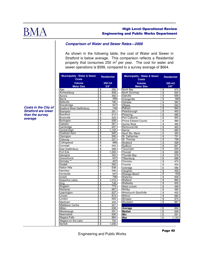

## **Comparison of Water and Sewer Rates—2008**

As shown in the following table, the cost of Water and Sewer in Stratford is below average. This comparison reflects a Residential property that consumes 250  $m^3$  per year. The cost for water and sewer operations is \$599, compared to a survey average of \$664.

| <b>Municipality - Water &amp; Sewer</b><br><b>Costs</b> |                          | <b>Residential</b> | <b>Municipality - Water &amp; Sewer</b><br><b>Costs</b> | <b>Residential</b>       |                 |  |
|---------------------------------------------------------|--------------------------|--------------------|---------------------------------------------------------|--------------------------|-----------------|--|
| <b>Volume</b>                                           |                          | 250 m3             | Volume                                                  |                          | $250 \text{ m}$ |  |
| <b>Meter Size</b>                                       |                          | $5/8$ "            | <b>Meter Size</b>                                       |                          | 5/8"            |  |
| Ajax                                                    | \$                       | 580                | North Bay                                               | \$                       | 670             |  |
| Amherstburg                                             | \$<br>$\overline{\$}$    | 838<br>463         | <b>North Dumfries</b>                                   | \$                       | 620             |  |
| Aurora<br>Barrie                                        | \$                       | 499                | Oakville                                                | $\overline{\$}$          | 638<br>685      |  |
| <b>Belleville</b>                                       | $\overline{\$}$          | 796                | Orangeville                                             | $\overline{\$}$          |                 |  |
|                                                         | $\overline{\$}$          | 947                | Oshawa                                                  | \$                       | 580             |  |
| Bracebridge<br><b>Bradford West Gwillimbury</b>         | \$                       | 749                | Ottawa                                                  | \$                       | 540             |  |
|                                                         | $\overline{\$}$          |                    | Pelham                                                  | $\overline{\$}$          | 664             |  |
| Brampton<br><b>Brantford</b>                            | \$                       | 291<br>612         | Peterborough                                            | \$                       | 463             |  |
|                                                         | $\overline{\$}$          |                    | Pickering                                               | \$                       | 580             |  |
| <b>Brockville</b>                                       |                          | 522                | Port Colborne                                           | $\overline{\mathcal{S}}$ | 955             |  |
| Burlington                                              | $\overline{\mathcal{S}}$ | 638                | <b>Prince Edward County</b>                             | \$                       | 989             |  |
| Caledon                                                 | $\overline{\$}$          | 291                | Quinte West                                             | \$                       | 485             |  |
| Cambridge                                               | $\overline{\$}$          | 637                | <b>Richmond Hill</b>                                    | \$                       | 463             |  |
| Central Elgin                                           | $\overline{\$}$          | 1,143              | Sarnia                                                  | \$                       | 685             |  |
| Chatham-Kent                                            | $\overline{\$}$          | 640                | Sault Ste. Marie                                        | \$                       | 383             |  |
| Clarington                                              | \$                       | 580                | St. Catharines                                          | \$                       | 731             |  |
| Cobourg                                                 | \$<br>$\overline{\$}$    | 537                | St. Thomas                                              | \$                       | 758             |  |
| Collingwood                                             |                          | 986                | Stratford                                               | \$                       | 599             |  |
| Cornwall                                                | \$                       | 542                | Sudbury                                                 | \$                       | 847             |  |
| <b>East Gwillimbury</b>                                 | \$                       | 598                | Tecumseh                                                | $\overline{\$}$          | 649             |  |
| Fort Erie                                               | \$                       | 1,084              | Thorold                                                 | \$                       | 689             |  |
| Georgina                                                | $\overline{\$}$<br>\$    | 520                | <b>Thunder Bay</b>                                      | $\overline{\$}$          | 578             |  |
| Gravenhurst                                             |                          | 947                | Tillsonburg                                             | \$                       | 689             |  |
| Grimsby <sup>**</sup>                                   | $\overline{\$}$          | 407                | Timmins                                                 | \$                       | 474             |  |
| Guelph                                                  | \$                       | 562                | Toronto                                                 | $\overline{\$}$          | 434             |  |
| <b>Halton Hills</b>                                     | $\overline{\$}$          | 638                | Uxbridge                                                | $\overline{\$}$          | 580             |  |
| Hamilton                                                | \$                       | 549                | Vaughan                                                 | \$                       | 459             |  |
| Huntsville                                              | \$<br>\$                 | 947                | Wasaga Beach                                            | \$                       | 402             |  |
| Innisfil                                                |                          | 796                | Waterloo                                                | $\overline{\$}$          | 608             |  |
| <b>Kawartha Lakes</b>                                   | \$                       | 1,016              | Welland                                                 | \$                       | 860             |  |
| King                                                    | $\overline{\$}$          | 748                | Wellesley                                               | \$                       | 620             |  |
| Kingston                                                | $\overline{\mathcal{L}}$ | 774                | <b>West Lincoln</b>                                     | \$                       | 499             |  |
| Kitchener                                               | $\overline{\$}$          | 667                | Whitby                                                  | $\overline{\$}$          | 580             |  |
| Leamington                                              | \$                       | 637                | Whitchurch-Stouffville                                  | \$                       | 452             |  |
| Lincoln                                                 | $\overline{\$}$          | 873                | Wilmot                                                  | $\overline{\mathcal{S}}$ | 682             |  |
| London                                                  | $\overline{\$}$          | 655                | Windsor                                                 | $\overline{\$}$          | 974             |  |
| Markham                                                 | \$                       | 442                | Woolwich                                                | $\overline{\mathcal{S}}$ | 887             |  |
| Middlesex Centre                                        | $\overline{\$}$          | 921                |                                                         |                          |                 |  |
| Milton                                                  | \$                       | 638                | Average                                                 | \$                       | 664             |  |
| Mississauga                                             | $\overline{\$}$          | 291                | <b>Median</b>                                           | $\overline{\$}$          | 638             |  |
| Newmarket                                               | \$                       | 626                | Min                                                     | $\overline{\mathcal{S}}$ | 291             |  |
| Niagara Falls                                           | $\overline{\$}$          | 884                | Max                                                     | $\overline{\$}$          | 1,143           |  |
| Niagara-on-the-Lake                                     | $\overline{\$}$          | 792                |                                                         |                          |                 |  |
| Norfolk                                                 | \$                       | 1,036              |                                                         |                          |                 |  |

**Costs in the City of Stratford are lower than the survey average** 

Engineering and Public Works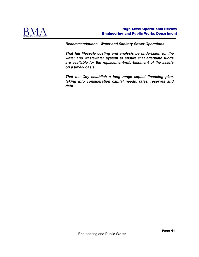

**Recommendations– Water and Sanitary Sewer Operations** 

**That full lifecycle costing and analysis be undertaken for the water and wastewater system to ensure that adequate funds are available for the replacement/refurbishment of the assets on a timely basis.** 

**That the City establish a long range capital financing plan, taking into consideration capital needs, rates, reserves and debt.**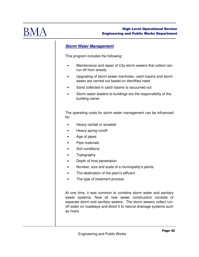

# **Storm Water Management**

This program includes the following:

- Maintenance and repair of City storm sewers that collect rain run off from streets
- Upgrading of storm sewer manholes, catch basins and storm sewer are carried out based on identified need
- Sand collected in catch basins is vacuumed out
- Storm water leaders to buildings are the responsibility of the building owner

The operating costs for storm water management can be influenced by:

- Heavy rainfall or snowfall
- Heavy spring runoff
- Age of pipes
- Pipe materials
- Soil conditions
- Topography
- Depth of frost penetration
- Number, size and scale of a municipality's plants
- The destination of the plant's effluent
- The type of treatment process

At one time, it was common to combine storm water and sanitary sewer systems. Now all new sewer construction consists of separate storm and sanitary sewers. The storm sewers collect runoff water on roadways and direct it to natural drainage systems such as rivers.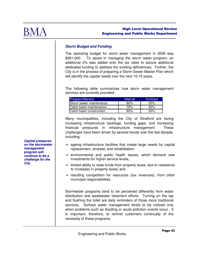

# **Storm Budget and Funding**

The operating budget for storm water management in 2008 was \$261,000. To assist in managing the storm water program, an additional 2% was added onto the tax rates to secure additional dedicated funding to address the existing deficiencies. Further, the City is in the process of preparing a Storm Sewer Master Plan which will identify the capital needs over the next 10-15 years.

The following table summarizes how storm water management services are currently provided:

| <b>Program/Service</b>         | Internal | Contract |
|--------------------------------|----------|----------|
| <b>Storm sewer maintenance</b> | 80%      | 20%      |
| Catch basin maintenance        | 70%      | $30\%$   |
| Catch basin construction       | 80%      | 20%      |

Many municipalities, including the City of Stratford are facing increasing infrastructure backlogs, funding gaps, and increasing financial pressures in infrastructure management. These challenges have been driven by several trends over the last decade, including:

- ageing infrastructure facilities that create large needs for capital replacement, renewal, and rehabilitation;
- environmental and public health issues, which demand new investments for higher service levels;
- limited ability to raise funds from property taxes, due to resistance to increases in property taxes; and
- resulting competition for resources (tax revenues), from other municipal responsibilities.

Stormwater programs tend to be perceived differently from water distribution and wastewater treatment efforts. Turning on the tap and flushing the toilet are daily reminders of those more traditional services. Surface water management tends to be noticed only when problems such as flooding or acute pollution events occur. It is important, therefore, to remind customers continually of the necessity of these programs.

**Capital pressures on the stormwater management program will continue to be a challenge for the City**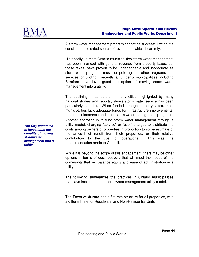

A storm water management program cannot be successful without a consistent, dedicated source of revenue on which it can rely.

Historically, in most Ontario municipalities storm water management has been financed with general revenue from property taxes, but these taxes, have proven to be undependable and inadequate as storm water programs must compete against other programs and services for funding. Recently, a number of municipalities, including Stratford have investigated the option of moving storm water management into a utility.

The declining infrastructure in many cities, highlighted by many national studies and reports, shows storm water service has been particularly hard hit. When funded through property taxes, most municipalities lack adequate funds for infrastructure improvements, repairs, maintenance and other storm water management programs.

Another approach is to fund storm water management through a utility model, charging "service" or "user" charges to distribute the costs among owners of properties in proportion to some estimate of the amount of runoff from their properties, or their relative contribution to the cost of operations. This was the recommendation made to Council.

While it is beyond the scope of this engagement, there may be other options in terms of cost recovery that will meet the needs of the community that will balance equity and ease of administration in a utility model.

The following summarizes the practices in Ontario municipalities that have implemented a storm water management utility model.

The **Town of Aurora** has a flat rate structure for all properties, with a different rate for Residential and Non-Residential Units.

**The City continues to investigate the benefits of moving stormwater management into a utility**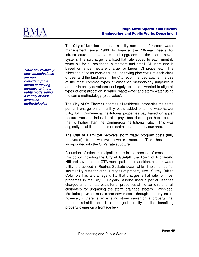

**While still relatively new, municipalities are now considering the merits of moving stormwater into a utility model using a variety of cost allocation methodologies** 

The **City of London** has used a utility rate model for storm water management since 1996 to finance the 20-year needs for infrastructure improvements and upgrades to the storm sewer system. The surcharge is a fixed flat rate added to each monthly water bill for all residential customers and small ICI users and is based on a per hectare charge for larger ICI properties. The allocation of costs considers the underlying pipe costs of each class of user and the land area. The City recommended against the use of the most common types of allocation methodology (impervious area or intensity development) largely because it wanted to align all types of cost allocation in water, wastewater and storm water using the same methodology (pipe value).

The **City of St. Thomas** charges all residential properties the same per unit charge on a monthly basis added onto the water/sewer utility bill. Commercial/Institutional properties pay based on a per hectare rate and Industrial also pays based on a per hectare rate that is higher than the Commercial/Institutional rate. This was originally established based on estimates for impervious area.

The **City of Hamilton** recovers storm water program costs (fully recovered) from water/wastewater rates. This has been incorporated into the City's rate structure.

A number of other municipalities are in the process of considering this option including the **City of Guelph**, the **Town of Richmond Hill** and several other GTA municipalities. In addition, a storm water utility is practiced in Regina, Saskatchewan which implemented flat storm utility rates for various ranges of property size. Surrey, British Columbia has a drainage utility that charges a flat rate for most properties in the City. Calgary, Alberta used a partial user fee charged on a flat rate basis for all properties at the same rate for all customers for upgrading the storm drainage system. Winnipeg, Manitoba pays for most storm sewer costs through property taxes, however, if there is an existing storm sewer on a property that requires rehabilitation, it is charged directly to the benefiting property owner on a frontage levy.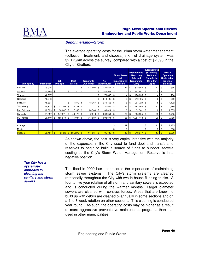

### **Benchmarking—Storm**

The average operating costs for the urban storm water management (collection, treatment, and disposal) / km of drainage system was \$2,175/km across the survey, compared with a cost of \$2,896 in the City of Stratford.

| <b>Municipality</b> | <b>Population</b> |               | <b>Debt</b><br><b>Principal</b> |            | <b>Debt</b><br><b>Interest</b> |           | <b>Transfer to</b><br><b>Own Funds</b> |     | <b>Net</b><br><b>Expenditures</b> |            | <b>Storm Sewer</b><br><b>Net</b><br><b>Expenditures</b><br>per capita |              | <b>Expenditures</b><br>(Removing<br>Debt and<br><b>Transfers to</b><br>Own) |              | <b>Expenditures</b><br>(Excluding<br>Debt and<br><b>Trasnfer to</b><br>Own) Per<br>Capita |     | <b>MPMP</b><br><b>Operating</b><br><b>Costs Urban</b><br>per km of<br>drainage |
|---------------------|-------------------|---------------|---------------------------------|------------|--------------------------------|-----------|----------------------------------------|-----|-----------------------------------|------------|-----------------------------------------------------------------------|--------------|-----------------------------------------------------------------------------|--------------|-------------------------------------------------------------------------------------------|-----|--------------------------------------------------------------------------------|
| Fort Erie           | 29,925            |               |                                 |            |                                | \$        | 714,604                                | \$  | ,237,564                          | \$         | 41                                                                    | \$           | 522,960                                                                     | \$           | 17                                                                                        | \$  | 365                                                                            |
| Cornwall            | 45,965            | \$            |                                 | \$         | ٠                              | \$        |                                        | \$  | 242,941                           | $\sqrt{3}$ | 5                                                                     | \$           | 242,941                                                                     | \$           | 5                                                                                         | \$  | 551                                                                            |
| Timmins             | 42,997            |               |                                 |            |                                |           |                                        | \$  | 178,835 \$                        |            | 4                                                                     | \$           | 178,835                                                                     | \$           | 4                                                                                         | \$  | 784                                                                            |
| Georgina            | 42,346            |               |                                 |            |                                |           |                                        | \$  | 210,495                           | \$         | 5                                                                     | \$           | 210,495                                                                     | \$           | 5                                                                                         | \$  | 860                                                                            |
| <b>Belleville</b>   | 48,821            |               |                                 | \$         | .370                           | -\$       | 13,367                                 | \$  | 279,466 \$                        |            | 6                                                                     | \$           | 264,729                                                                     | \$           | 5                                                                                         | \$  | 1,132                                                                          |
| Tillsonburg         | 14,822            | \$            | 32,396                          | \$         | $28,133$ \$                    |           |                                        | \$  | 221,589 \$                        |            | 15                                                                    | \$           | 161,060                                                                     | \$           | 11                                                                                        | \$  | 1,789                                                                          |
| Port Colborne       | 18,599            | \$            | 38,607                          | \$         | $17,146$ \$                    |           | 20,500                                 | \$  | 108,814                           | \$         | 6                                                                     | \$           | 32,561                                                                      | \$           | $\overline{c}$                                                                            | \$  | 2,555                                                                          |
| <b>Brockville</b>   | 21,957            | \$            | 147,671                         | \$         | $40,175$ \$                    |           | 2,210                                  | \$  | 696,951                           | \$         | 32                                                                    | \$           | 506,895                                                                     | \$           | 23                                                                                        | \$  | 3,755                                                                          |
| St. Thomas          | $36,110$ \$       |               | 188,579                         | <b>S</b>   | 11,087                         | <b>IS</b> | 747,587                                | \$  | ,998,671                          | $\sqrt{3}$ | 55                                                                    | \$           | $1,051,418$ \$                                                              |              | 29                                                                                        | \$  | 7,788                                                                          |
|                     |                   |               |                                 |            |                                |           |                                        |     |                                   |            |                                                                       |              |                                                                             |              |                                                                                           |     |                                                                                |
| Average             |                   |               |                                 |            |                                |           |                                        |     |                                   | \$         | 19                                                                    |              |                                                                             | \$           | 11                                                                                        | \$  | 2,175                                                                          |
| Median              |                   |               |                                 |            |                                |           |                                        |     |                                   | \$         | 6                                                                     |              |                                                                             | \$           | 5                                                                                         | \$  | 996                                                                            |
| <b>Stratford</b>    | 30,461            | $\mathbf{\$}$ | 2,426                           | $\sqrt{3}$ | $535,272$ \$                   |           | 444.661                                | -\$ |                                   |            | 49                                                                    | $\mathbf{s}$ | 513,377                                                                     | $\mathbf{S}$ | 17                                                                                        | -\$ | 2,896                                                                          |

As shown above, the cost is very capital intensive with the majority of the expenses in the City used to fund debt and transfers to reserves to begin to build a source of funds to support lifecycle costing as the City's Storm Water Management Reserve is in a negative position.

The flood in 2002 has underscored the importance of maintaining storm sewer systems. The City's storm systems are cleaned rotationally throughout the City with two in house flushing trucks. A four to five year rotation of all storm and sanitary sewers is expected and is conducted during the warmer months. Larger diameter sewers are cleaned with contract forces. Areas that are known to build up with debris are cleaned bi-annually in some sections and on a 4 to 8 week rotation on other sections. This cleaning is conducted year round. As such, the operating costs may be higher as a result of more aggressive preventative maintenance programs than that used in other municipalities.

**The City has a systematic approach to cleaning the sanitary and storm sewers**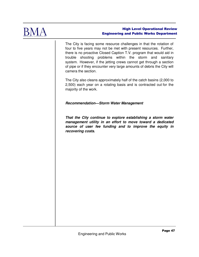

The City is facing some resource challenges in that the rotation of four to five years may not be met with present resources. Further, there is no proactive Closed Caption T.V. program that would aid in trouble shooting problems within the storm and sanitary system. However, if the jetting crews cannot get through a section of pipe or if they encounter very large amounts of debris the City will camera the section.

The City also cleans approximately half of the catch basins (2,000 to 2,500) each year on a rotating basis and is contracted out for the majority of the work.

## **Recommendation—Storm Water Management**

**That the City continue to explore establishing a storm water management utility in an effort to move toward a dedicated source of user fee funding and to improve the equity in recovering costs.**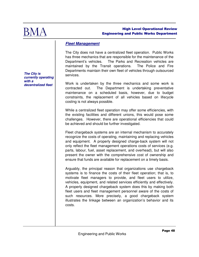

# **Fleet Management**

The City does not have a centralized fleet operation. Public Works has three mechanics that are responsible for the maintenance of the Department's vehicles. The Parks and Recreation vehicles are maintained by the Transit operations. The Police and Fire Departments maintain their own fleet of vehicles through outsourced services.

Work is undertaken by the three mechanics and some work is contracted out. The Department is undertaking preventative maintenance on a scheduled basis, however, due to budget constraints, the replacement of all vehicles based on lifecycle costing is not always possible.

While a centralized fleet operation may offer some efficiencies, with the existing facilities and different unions, this would pose some challenges. However, there are operational efficiencies that could be achieved and should be further investigated.

Fleet chargeback systems are an internal mechanism to accurately recognize the costs of operating, maintaining and replacing vehicles and equipment. A properly designed charge-back system will not only reflect the fleet management operations costs of services (e.g. parts, labour, fuel, asset replacement, and overhead), but will also present the owner with the comprehensive cost of ownership and ensure that funds are available for replacement on a timely basis.

Arguably, the principal reason that organizations use chargeback systems is to finance the costs of their fleet operation; that is, to motivate fleet managers to provide, and fleet users to utilize, vehicles, equipment, and related services efficiently and effectively. A properly designed chargeback system does this by making both fleet users and fleet management personnel aware of the costs of such resources. More precisely, a good chargeback system illustrates the linkage between an organization's behavior and its costs.

**The City is currently operating with a decentralized fleet**